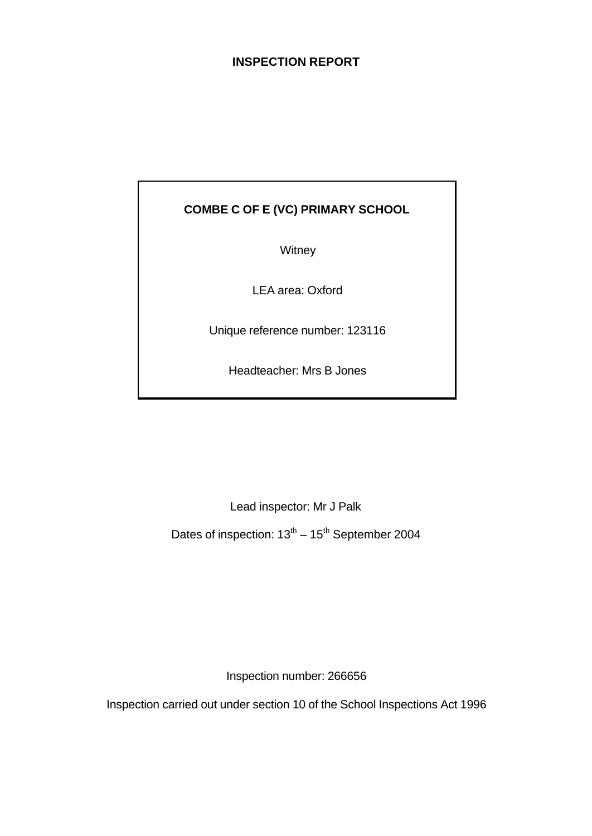## **INSPECTION REPORT**

# **COMBE C OF E (VC) PRIMARY SCHOOL**

**Witney** 

LEA area: Oxford

Unique reference number: 123116

Headteacher: Mrs B Jones

Lead inspector: Mr J Palk

Dates of inspection:  $13<sup>th</sup> - 15<sup>th</sup>$  September 2004

Inspection number: 266656

Inspection carried out under section 10 of the School Inspections Act 1996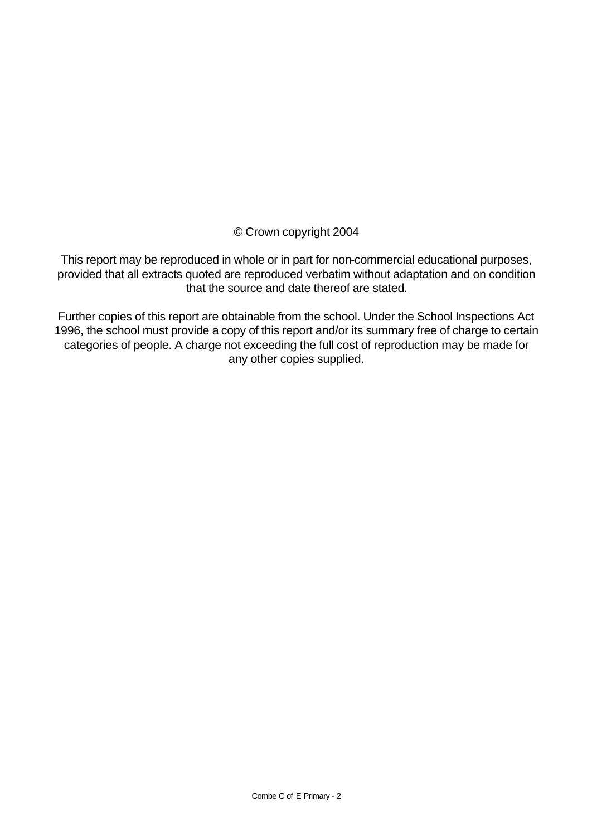© Crown copyright 2004

This report may be reproduced in whole or in part for non-commercial educational purposes, provided that all extracts quoted are reproduced verbatim without adaptation and on condition that the source and date thereof are stated.

Further copies of this report are obtainable from the school. Under the School Inspections Act 1996, the school must provide a copy of this report and/or its summary free of charge to certain categories of people. A charge not exceeding the full cost of reproduction may be made for any other copies supplied.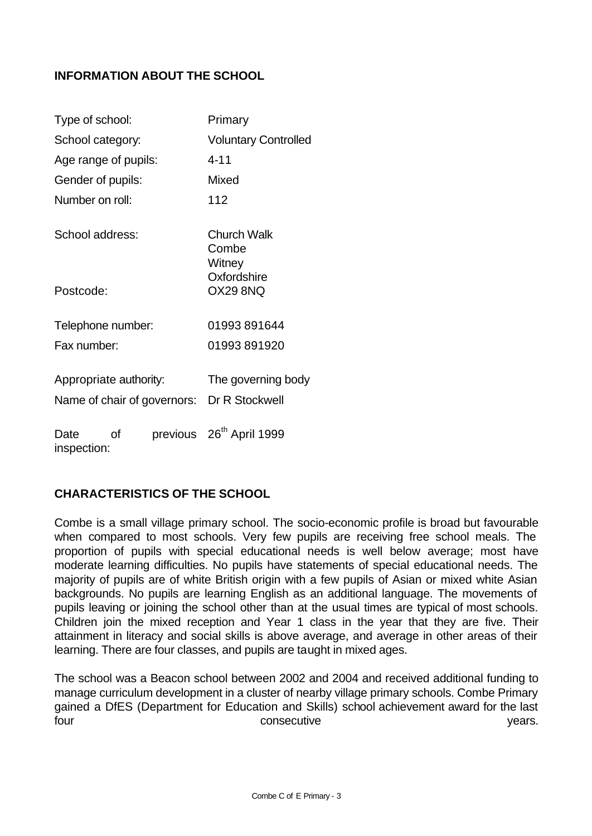## **INFORMATION ABOUT THE SCHOOL**

| Type of school:        |    |                             | Primary                                                          |
|------------------------|----|-----------------------------|------------------------------------------------------------------|
| School category:       |    | <b>Voluntary Controlled</b> |                                                                  |
| Age range of pupils:   |    |                             | $4 - 11$                                                         |
| Gender of pupils:      |    |                             | Mixed                                                            |
| Number on roll:        |    |                             | 112                                                              |
| School address:        |    |                             | <b>Church Walk</b><br>Combe<br>Witney                            |
| Postcode:              |    |                             | Oxfordshire<br>OX29 8NQ                                          |
| Telephone number:      |    |                             | 01993891644                                                      |
| Fax number:            |    |                             | 01993891920                                                      |
| Appropriate authority: |    |                             | The governing body<br>Name of chair of governors: Dr R Stockwell |
| Date<br>inspection:    | Ωf |                             | previous 26 <sup>th</sup> April 1999                             |

# **CHARACTERISTICS OF THE SCHOOL**

Combe is a small village primary school. The socio-economic profile is broad but favourable when compared to most schools. Very few pupils are receiving free school meals. The proportion of pupils with special educational needs is well below average; most have moderate learning difficulties. No pupils have statements of special educational needs. The majority of pupils are of white British origin with a few pupils of Asian or mixed white Asian backgrounds. No pupils are learning English as an additional language. The movements of pupils leaving or joining the school other than at the usual times are typical of most schools. Children join the mixed reception and Year 1 class in the year that they are five. Their attainment in literacy and social skills is above average, and average in other areas of their learning. There are four classes, and pupils are taught in mixed ages.

The school was a Beacon school between 2002 and 2004 and received additional funding to manage curriculum development in a cluster of nearby village primary schools. Combe Primary gained a DfES (Department for Education and Skills) school achievement award for the last four the consecutive the consecutive the set of the vears.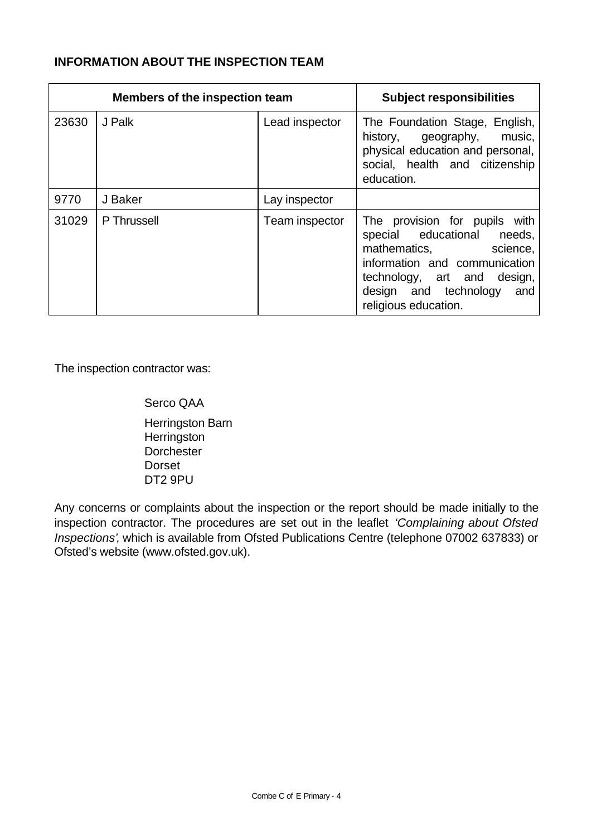## **INFORMATION ABOUT THE INSPECTION TEAM**

|       | <b>Members of the inspection team</b> | <b>Subject responsibilities</b> |                                                                                                                                                                                                                       |
|-------|---------------------------------------|---------------------------------|-----------------------------------------------------------------------------------------------------------------------------------------------------------------------------------------------------------------------|
| 23630 | J Palk                                | Lead inspector                  | The Foundation Stage, English,<br>history, geography, music,<br>physical education and personal,<br>social, health and citizenship<br>education.                                                                      |
| 9770  | J Baker                               | Lay inspector                   |                                                                                                                                                                                                                       |
| 31029 | P Thrussell                           | Team inspector                  | The provision for pupils with<br>special educational<br>needs,<br>mathematics,<br>science,<br>information and communication<br>technology, art and<br>design,<br>design and technology<br>and<br>religious education. |

The inspection contractor was:

Serco QAA

Herringston Barn **Herringston Dorchester** Dorset DT2 9PU

Any concerns or complaints about the inspection or the report should be made initially to the inspection contractor. The procedures are set out in the leaflet *'Complaining about Ofsted Inspections'*, which is available from Ofsted Publications Centre (telephone 07002 637833) or Ofsted's website (www.ofsted.gov.uk).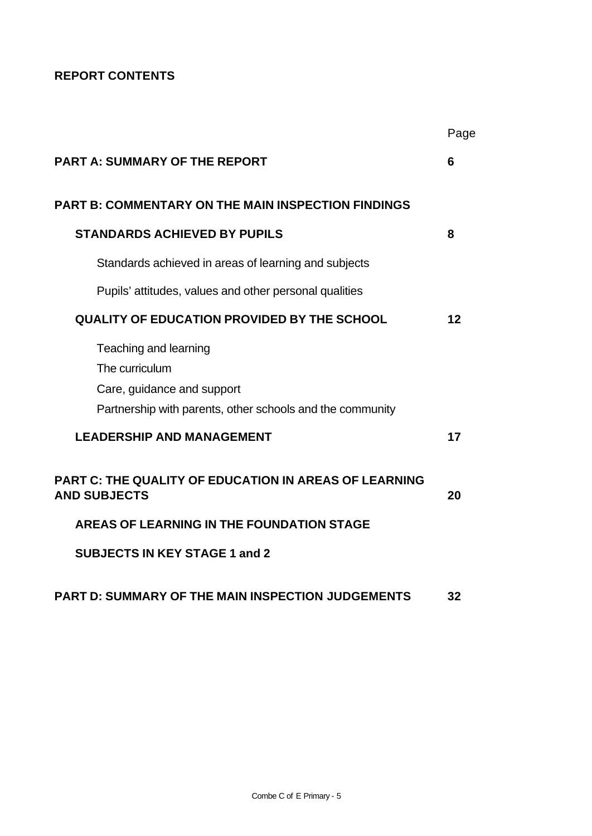# **REPORT CONTENTS**

|                                                                                                                                    | Page |
|------------------------------------------------------------------------------------------------------------------------------------|------|
| <b>PART A: SUMMARY OF THE REPORT</b>                                                                                               | 6    |
| <b>PART B: COMMENTARY ON THE MAIN INSPECTION FINDINGS</b>                                                                          |      |
| <b>STANDARDS ACHIEVED BY PUPILS</b>                                                                                                | 8    |
| Standards achieved in areas of learning and subjects                                                                               |      |
| Pupils' attitudes, values and other personal qualities                                                                             |      |
| <b>QUALITY OF EDUCATION PROVIDED BY THE SCHOOL</b>                                                                                 | 12   |
| Teaching and learning<br>The curriculum<br>Care, guidance and support<br>Partnership with parents, other schools and the community |      |
| <b>LEADERSHIP AND MANAGEMENT</b>                                                                                                   | 17   |
| <b>PART C: THE QUALITY OF EDUCATION IN AREAS OF LEARNING</b><br><b>AND SUBJECTS</b>                                                | 20   |
| AREAS OF LEARNING IN THE FOUNDATION STAGE                                                                                          |      |
| <b>SUBJECTS IN KEY STAGE 1 and 2</b>                                                                                               |      |
| PART D: SUMMARY OF THE MAIN INSPECTION JUDGEMENTS                                                                                  | 32   |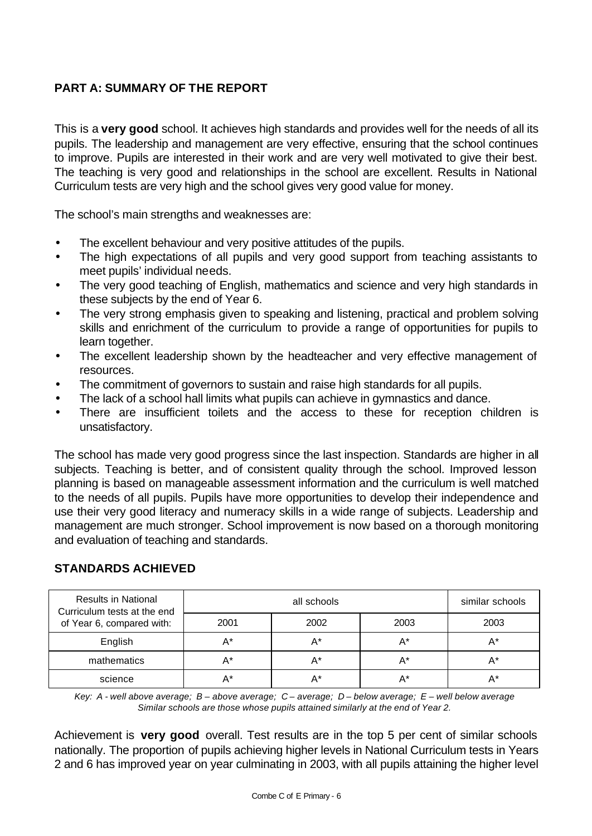# **PART A: SUMMARY OF THE REPORT**

This is a **very good** school. It achieves high standards and provides well for the needs of all its pupils. The leadership and management are very effective, ensuring that the school continues to improve. Pupils are interested in their work and are very well motivated to give their best. The teaching is very good and relationships in the school are excellent. Results in National Curriculum tests are very high and the school gives very good value for money.

The school's main strengths and weaknesses are:

- The excellent behaviour and very positive attitudes of the pupils.
- The high expectations of all pupils and very good support from teaching assistants to meet pupils' individual needs.
- The very good teaching of English, mathematics and science and very high standards in these subjects by the end of Year 6.
- The very strong emphasis given to speaking and listening, practical and problem solving skills and enrichment of the curriculum to provide a range of opportunities for pupils to learn together.
- The excellent leadership shown by the headteacher and very effective management of resources.
- The commitment of governors to sustain and raise high standards for all pupils.
- The lack of a school hall limits what pupils can achieve in gymnastics and dance.
- There are insufficient toilets and the access to these for reception children is unsatisfactory.

The school has made very good progress since the last inspection. Standards are higher in all subjects. Teaching is better, and of consistent quality through the school. Improved lesson planning is based on manageable assessment information and the curriculum is well matched to the needs of all pupils. Pupils have more opportunities to develop their independence and use their very good literacy and numeracy skills in a wide range of subjects. Leadership and management are much stronger. School improvement is now based on a thorough monitoring and evaluation of teaching and standards.

| <b>Results in National</b><br>Curriculum tests at the end |      | similar schools |       |      |
|-----------------------------------------------------------|------|-----------------|-------|------|
| of Year 6, compared with:                                 | 2001 | 2002            | 2003  | 2003 |
| English                                                   | A*   | A*              | A*    | A*   |
| mathematics                                               | A*   |                 | $A^*$ | A*   |
| science                                                   | А*   | А*              | А*    | А*   |

# **STANDARDS ACHIEVED**

*Key: A - well above average; B – above average; C – average; D – below average; E – well below average Similar schools are those whose pupils attained similarly at the end of Year 2.*

Achievement is **very good** overall. Test results are in the top 5 per cent of similar schools nationally. The proportion of pupils achieving higher levels in National Curriculum tests in Years 2 and 6 has improved year on year culminating in 2003, with all pupils attaining the higher level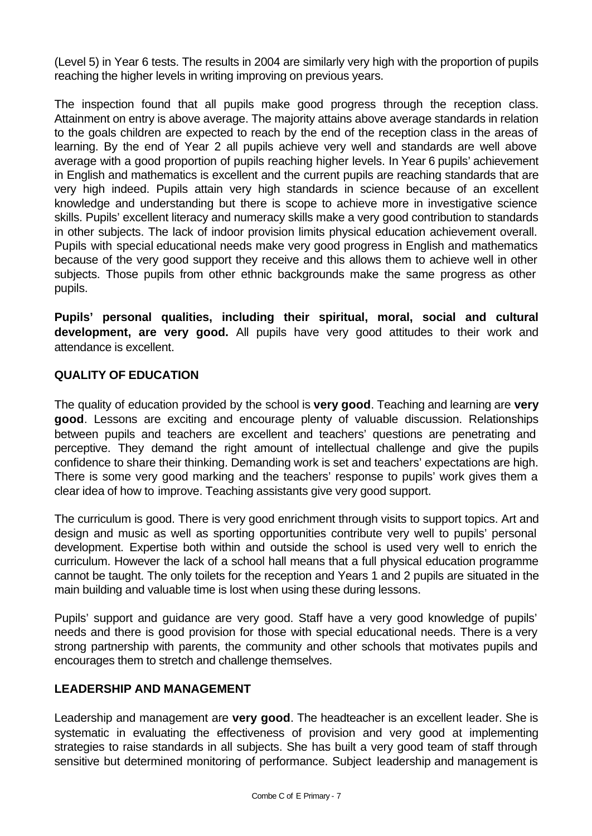(Level 5) in Year 6 tests. The results in 2004 are similarly very high with the proportion of pupils reaching the higher levels in writing improving on previous years.

The inspection found that all pupils make good progress through the reception class. Attainment on entry is above average. The majority attains above average standards in relation to the goals children are expected to reach by the end of the reception class in the areas of learning. By the end of Year 2 all pupils achieve very well and standards are well above average with a good proportion of pupils reaching higher levels. In Year 6 pupils' achievement in English and mathematics is excellent and the current pupils are reaching standards that are very high indeed. Pupils attain very high standards in science because of an excellent knowledge and understanding but there is scope to achieve more in investigative science skills. Pupils' excellent literacy and numeracy skills make a very good contribution to standards in other subjects. The lack of indoor provision limits physical education achievement overall. Pupils with special educational needs make very good progress in English and mathematics because of the very good support they receive and this allows them to achieve well in other subjects. Those pupils from other ethnic backgrounds make the same progress as other pupils.

**Pupils' personal qualities, including their spiritual, moral, social and cultural development, are very good.** All pupils have very good attitudes to their work and attendance is excellent.

## **QUALITY OF EDUCATION**

The quality of education provided by the school is **very good**. Teaching and learning are **very good**. Lessons are exciting and encourage plenty of valuable discussion. Relationships between pupils and teachers are excellent and teachers' questions are penetrating and perceptive. They demand the right amount of intellectual challenge and give the pupils confidence to share their thinking. Demanding work is set and teachers' expectations are high. There is some very good marking and the teachers' response to pupils' work gives them a clear idea of how to improve. Teaching assistants give very good support.

The curriculum is good. There is very good enrichment through visits to support topics. Art and design and music as well as sporting opportunities contribute very well to pupils' personal development. Expertise both within and outside the school is used very well to enrich the curriculum. However the lack of a school hall means that a full physical education programme cannot be taught. The only toilets for the reception and Years 1 and 2 pupils are situated in the main building and valuable time is lost when using these during lessons.

Pupils' support and guidance are very good. Staff have a very good knowledge of pupils' needs and there is good provision for those with special educational needs. There is a very strong partnership with parents, the community and other schools that motivates pupils and encourages them to stretch and challenge themselves.

## **LEADERSHIP AND MANAGEMENT**

Leadership and management are **very good**. The headteacher is an excellent leader. She is systematic in evaluating the effectiveness of provision and very good at implementing strategies to raise standards in all subjects. She has built a very good team of staff through sensitive but determined monitoring of performance. Subject leadership and management is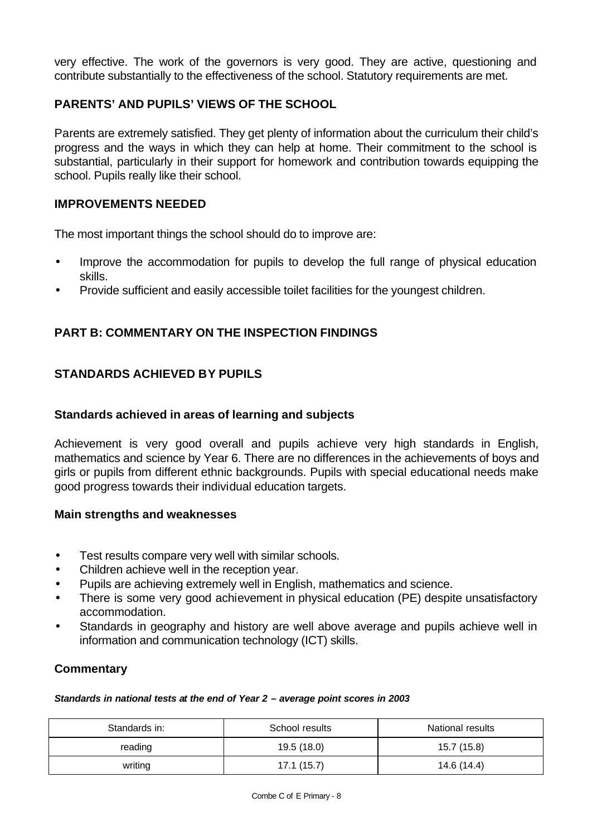very effective. The work of the governors is very good. They are active, questioning and contribute substantially to the effectiveness of the school. Statutory requirements are met.

## **PARENTS' AND PUPILS' VIEWS OF THE SCHOOL**

Parents are extremely satisfied. They get plenty of information about the curriculum their child's progress and the ways in which they can help at home. Their commitment to the school is substantial, particularly in their support for homework and contribution towards equipping the school. Pupils really like their school.

## **IMPROVEMENTS NEEDED**

The most important things the school should do to improve are:

- Improve the accommodation for pupils to develop the full range of physical education skills.
- Provide sufficient and easily accessible toilet facilities for the youngest children.

## **PART B: COMMENTARY ON THE INSPECTION FINDINGS**

## **STANDARDS ACHIEVED BY PUPILS**

## **Standards achieved in areas of learning and subjects**

Achievement is very good overall and pupils achieve very high standards in English, mathematics and science by Year 6. There are no differences in the achievements of boys and girls or pupils from different ethnic backgrounds. Pupils with special educational needs make good progress towards their individual education targets.

## **Main strengths and weaknesses**

- Test results compare very well with similar schools.
- Children achieve well in the reception year.
- Pupils are achieving extremely well in English, mathematics and science.
- There is some very good achievement in physical education (PE) despite unsatisfactory accommodation.
- Standards in geography and history are well above average and pupils achieve well in information and communication technology (ICT) skills.

## **Commentary**

#### *Standards in national tests at the end of Year 2 – average point scores in 2003*

| Standards in: | School results | National results |
|---------------|----------------|------------------|
| reading       | 19.5 (18.0)    | 15.7 (15.8)      |
| writing       | 17.1 (15.7)    | 14.6 (14.4)      |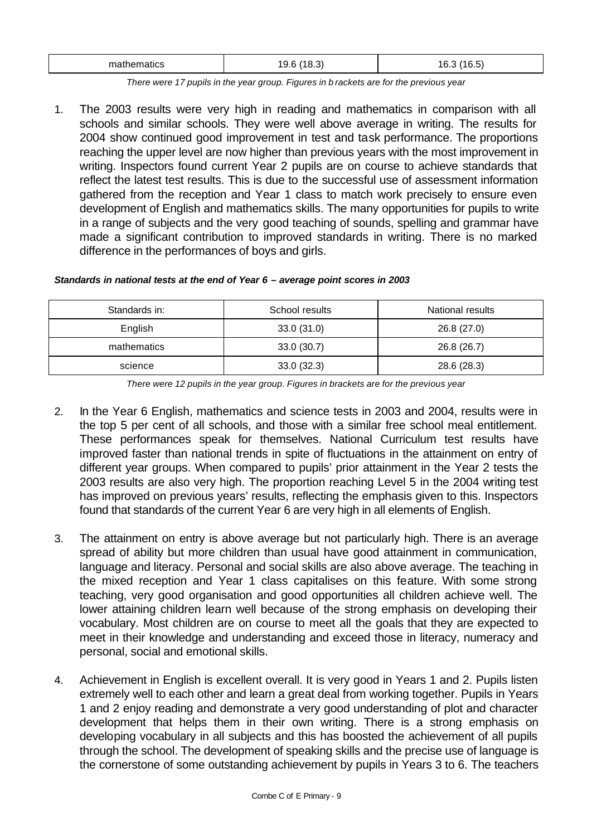| $\sim$ $\sim$<br>mather<br>۱C<br>natıcs<br>. .<br><b>15</b><br>۰ο.δ.<br>ັ | $\sim$ $\sim$<br>16.5.<br>. . |
|---------------------------------------------------------------------------|-------------------------------|
|---------------------------------------------------------------------------|-------------------------------|

*There were 17 pupils in the year group. Figures in b rackets are for the previous year* 

1. The 2003 results were very high in reading and mathematics in comparison with all schools and similar schools. They were well above average in writing. The results for 2004 show continued good improvement in test and task performance. The proportions reaching the upper level are now higher than previous years with the most improvement in writing. Inspectors found current Year 2 pupils are on course to achieve standards that reflect the latest test results. This is due to the successful use of assessment information gathered from the reception and Year 1 class to match work precisely to ensure even development of English and mathematics skills. The many opportunities for pupils to write in a range of subjects and the very good teaching of sounds, spelling and grammar have made a significant contribution to improved standards in writing. There is no marked difference in the performances of boys and girls.

| Standards in national tests at the end of Year 6 - average point scores in 2003 |  |  |
|---------------------------------------------------------------------------------|--|--|
|                                                                                 |  |  |

| Standards in: | School results | National results |
|---------------|----------------|------------------|
| English       | 33.0(31.0)     | 26.8 (27.0)      |
| mathematics   | 33.0(30.7)     | 26.8 (26.7)      |
| science       | 33.0(32.3)     | 28.6 (28.3)      |

*There were 12 pupils in the year group. Figures in brackets are for the previous year*

- 2. In the Year 6 English, mathematics and science tests in 2003 and 2004, results were in the top 5 per cent of all schools, and those with a similar free school meal entitlement. These performances speak for themselves. National Curriculum test results have improved faster than national trends in spite of fluctuations in the attainment on entry of different year groups. When compared to pupils' prior attainment in the Year 2 tests the 2003 results are also very high. The proportion reaching Level 5 in the 2004 writing test has improved on previous years' results, reflecting the emphasis given to this. Inspectors found that standards of the current Year 6 are very high in all elements of English.
- 3. The attainment on entry is above average but not particularly high. There is an average spread of ability but more children than usual have good attainment in communication, language and literacy. Personal and social skills are also above average. The teaching in the mixed reception and Year 1 class capitalises on this feature. With some strong teaching, very good organisation and good opportunities all children achieve well. The lower attaining children learn well because of the strong emphasis on developing their vocabulary. Most children are on course to meet all the goals that they are expected to meet in their knowledge and understanding and exceed those in literacy, numeracy and personal, social and emotional skills.
- 4. Achievement in English is excellent overall. It is very good in Years 1 and 2. Pupils listen extremely well to each other and learn a great deal from working together. Pupils in Years 1 and 2 enjoy reading and demonstrate a very good understanding of plot and character development that helps them in their own writing. There is a strong emphasis on developing vocabulary in all subjects and this has boosted the achievement of all pupils through the school. The development of speaking skills and the precise use of language is the cornerstone of some outstanding achievement by pupils in Years 3 to 6. The teachers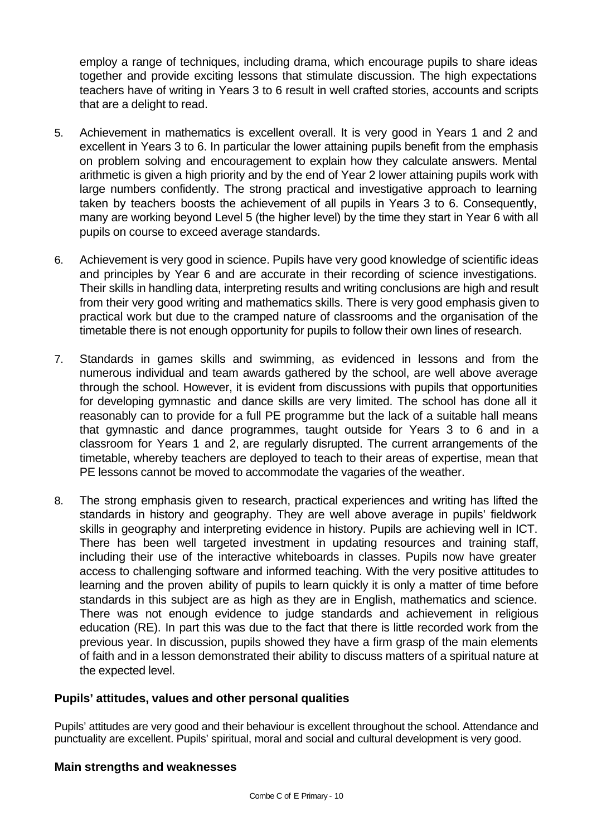employ a range of techniques, including drama, which encourage pupils to share ideas together and provide exciting lessons that stimulate discussion. The high expectations teachers have of writing in Years 3 to 6 result in well crafted stories, accounts and scripts that are a delight to read.

- 5. Achievement in mathematics is excellent overall. It is very good in Years 1 and 2 and excellent in Years 3 to 6. In particular the lower attaining pupils benefit from the emphasis on problem solving and encouragement to explain how they calculate answers. Mental arithmetic is given a high priority and by the end of Year 2 lower attaining pupils work with large numbers confidently. The strong practical and investigative approach to learning taken by teachers boosts the achievement of all pupils in Years 3 to 6. Consequently, many are working beyond Level 5 (the higher level) by the time they start in Year 6 with all pupils on course to exceed average standards.
- 6. Achievement is very good in science. Pupils have very good knowledge of scientific ideas and principles by Year 6 and are accurate in their recording of science investigations. Their skills in handling data, interpreting results and writing conclusions are high and result from their very good writing and mathematics skills. There is very good emphasis given to practical work but due to the cramped nature of classrooms and the organisation of the timetable there is not enough opportunity for pupils to follow their own lines of research.
- 7. Standards in games skills and swimming, as evidenced in lessons and from the numerous individual and team awards gathered by the school, are well above average through the school. However, it is evident from discussions with pupils that opportunities for developing gymnastic and dance skills are very limited. The school has done all it reasonably can to provide for a full PE programme but the lack of a suitable hall means that gymnastic and dance programmes, taught outside for Years 3 to 6 and in a classroom for Years 1 and 2, are regularly disrupted. The current arrangements of the timetable, whereby teachers are deployed to teach to their areas of expertise, mean that PE lessons cannot be moved to accommodate the vagaries of the weather.
- 8. The strong emphasis given to research, practical experiences and writing has lifted the standards in history and geography. They are well above average in pupils' fieldwork skills in geography and interpreting evidence in history. Pupils are achieving well in ICT. There has been well targeted investment in updating resources and training staff, including their use of the interactive whiteboards in classes. Pupils now have greater access to challenging software and informed teaching. With the very positive attitudes to learning and the proven ability of pupils to learn quickly it is only a matter of time before standards in this subject are as high as they are in English, mathematics and science. There was not enough evidence to judge standards and achievement in religious education (RE). In part this was due to the fact that there is little recorded work from the previous year. In discussion, pupils showed they have a firm grasp of the main elements of faith and in a lesson demonstrated their ability to discuss matters of a spiritual nature at the expected level.

## **Pupils' attitudes, values and other personal qualities**

Pupils' attitudes are very good and their behaviour is excellent throughout the school. Attendance and punctuality are excellent. Pupils' spiritual, moral and social and cultural development is very good.

## **Main strengths and weaknesses**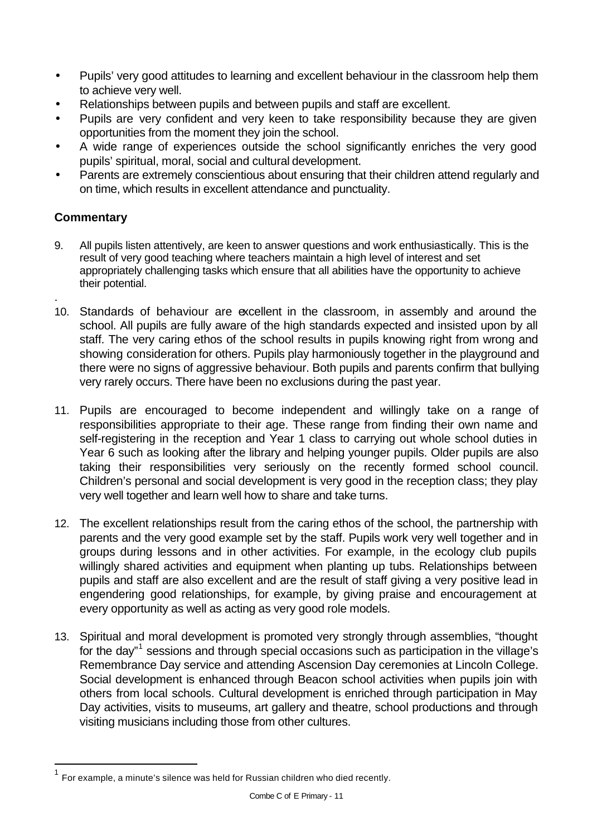- Pupils' very good attitudes to learning and excellent behaviour in the classroom help them to achieve very well.
- Relationships between pupils and between pupils and staff are excellent.
- Pupils are very confident and very keen to take responsibility because they are given opportunities from the moment they join the school.
- A wide range of experiences outside the school significantly enriches the very good pupils' spiritual, moral, social and cultural development.
- Parents are extremely conscientious about ensuring that their children attend regularly and on time, which results in excellent attendance and punctuality.

# **Commentary**

.

l

- 9. All pupils listen attentively, are keen to answer questions and work enthusiastically. This is the result of very good teaching where teachers maintain a high level of interest and set appropriately challenging tasks which ensure that all abilities have the opportunity to achieve their potential.
- 10. Standards of behaviour are excellent in the classroom, in assembly and around the school. All pupils are fully aware of the high standards expected and insisted upon by all staff. The very caring ethos of the school results in pupils knowing right from wrong and showing consideration for others. Pupils play harmoniously together in the playground and there were no signs of aggressive behaviour. Both pupils and parents confirm that bullying very rarely occurs. There have been no exclusions during the past year.
- 11. Pupils are encouraged to become independent and willingly take on a range of responsibilities appropriate to their age. These range from finding their own name and self-registering in the reception and Year 1 class to carrying out whole school duties in Year 6 such as looking after the library and helping younger pupils. Older pupils are also taking their responsibilities very seriously on the recently formed school council. Children's personal and social development is very good in the reception class; they play very well together and learn well how to share and take turns.
- 12. The excellent relationships result from the caring ethos of the school, the partnership with parents and the very good example set by the staff. Pupils work very well together and in groups during lessons and in other activities. For example, in the ecology club pupils willingly shared activities and equipment when planting up tubs. Relationships between pupils and staff are also excellent and are the result of staff giving a very positive lead in engendering good relationships, for example, by giving praise and encouragement at every opportunity as well as acting as very good role models.
- 13. Spiritual and moral development is promoted very strongly through assemblies, "thought for the day"<sup>1</sup> sessions and through special occasions such as participation in the village's Remembrance Day service and attending Ascension Day ceremonies at Lincoln College. Social development is enhanced through Beacon school activities when pupils join with others from local schools. Cultural development is enriched through participation in May Day activities, visits to museums, art gallery and theatre, school productions and through visiting musicians including those from other cultures.

 $^{\mathsf{1}}$  For example, a minute's silence was held for Russian children who died recently.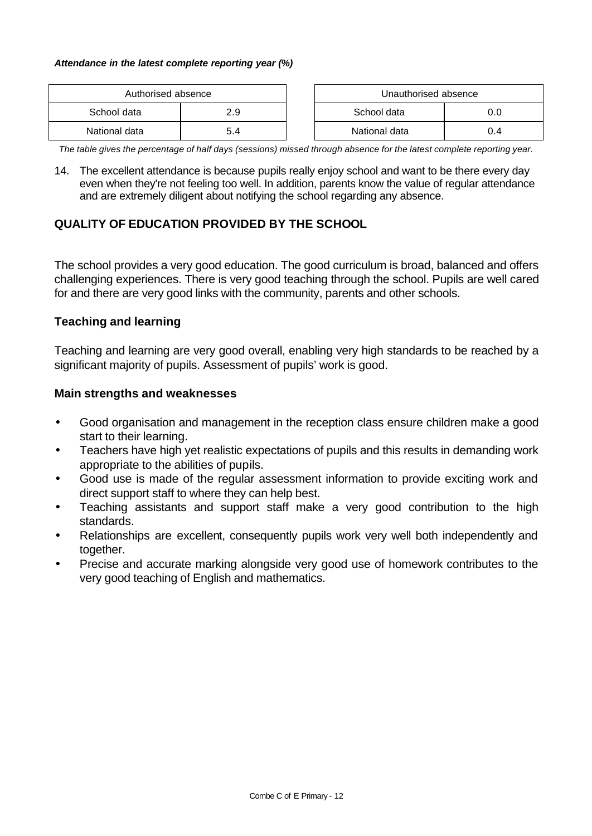#### *Attendance in the latest complete reporting year (%)*

| Authorised absence |     | Unauthorised absence |     |
|--------------------|-----|----------------------|-----|
| School data        | 2.9 | School data          |     |
| National data      | 5.4 | National data        | J.4 |

*The table gives the percentage of half days (sessions) missed through absence for the latest complete reporting year.*

14. The excellent attendance is because pupils really enjoy school and want to be there every day even when they're not feeling too well. In addition, parents know the value of regular attendance and are extremely diligent about notifying the school regarding any absence.

## **QUALITY OF EDUCATION PROVIDED BY THE SCHOOL**

The school provides a very good education. The good curriculum is broad, balanced and offers challenging experiences. There is very good teaching through the school. Pupils are well cared for and there are very good links with the community, parents and other schools.

## **Teaching and learning**

Teaching and learning are very good overall, enabling very high standards to be reached by a significant majority of pupils. Assessment of pupils' work is good.

## **Main strengths and weaknesses**

- Good organisation and management in the reception class ensure children make a good start to their learning.
- Teachers have high yet realistic expectations of pupils and this results in demanding work appropriate to the abilities of pupils.
- Good use is made of the regular assessment information to provide exciting work and direct support staff to where they can help best.
- Teaching assistants and support staff make a very good contribution to the high standards.
- Relationships are excellent, consequently pupils work very well both independently and together.
- Precise and accurate marking alongside very good use of homework contributes to the very good teaching of English and mathematics.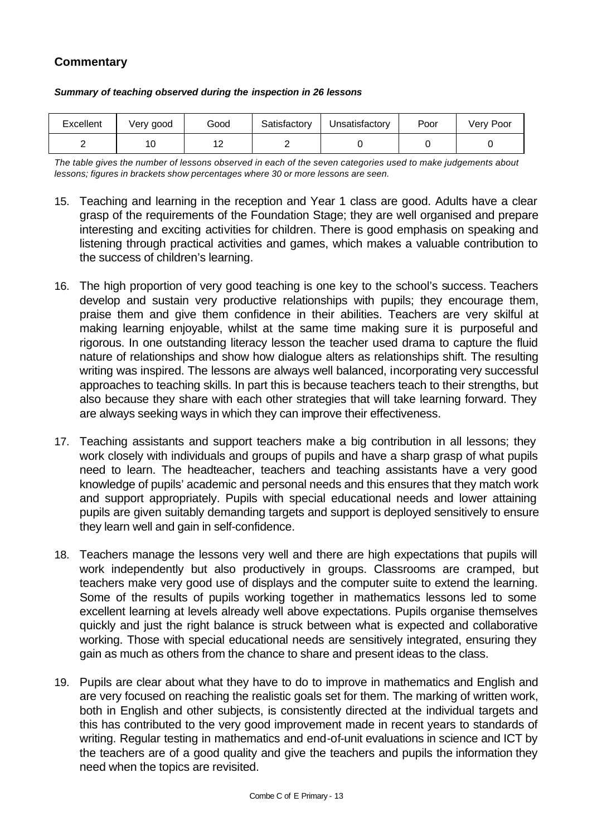## **Commentary**

| Excellent | Very good | Good          | Satisfactory | Unsatisfactory | Poor | Verv Poor |
|-----------|-----------|---------------|--------------|----------------|------|-----------|
|           | ١U        | $\sim$<br>. . |              |                |      |           |

#### *Summary of teaching observed during the inspection in 26 lessons*

*The table gives the number of lessons observed in each of the seven categories used to make judgements about lessons; figures in brackets show percentages where 30 or more lessons are seen.*

- 15. Teaching and learning in the reception and Year 1 class are good. Adults have a clear grasp of the requirements of the Foundation Stage; they are well organised and prepare interesting and exciting activities for children. There is good emphasis on speaking and listening through practical activities and games, which makes a valuable contribution to the success of children's learning.
- 16. The high proportion of very good teaching is one key to the school's success. Teachers develop and sustain very productive relationships with pupils; they encourage them, praise them and give them confidence in their abilities. Teachers are very skilful at making learning enjoyable, whilst at the same time making sure it is purposeful and rigorous. In one outstanding literacy lesson the teacher used drama to capture the fluid nature of relationships and show how dialogue alters as relationships shift. The resulting writing was inspired. The lessons are always well balanced, incorporating very successful approaches to teaching skills. In part this is because teachers teach to their strengths, but also because they share with each other strategies that will take learning forward. They are always seeking ways in which they can improve their effectiveness.
- 17. Teaching assistants and support teachers make a big contribution in all lessons; they work closely with individuals and groups of pupils and have a sharp grasp of what pupils need to learn. The headteacher, teachers and teaching assistants have a very good knowledge of pupils' academic and personal needs and this ensures that they match work and support appropriately. Pupils with special educational needs and lower attaining pupils are given suitably demanding targets and support is deployed sensitively to ensure they learn well and gain in self-confidence.
- 18. Teachers manage the lessons very well and there are high expectations that pupils will work independently but also productively in groups. Classrooms are cramped, but teachers make very good use of displays and the computer suite to extend the learning. Some of the results of pupils working together in mathematics lessons led to some excellent learning at levels already well above expectations. Pupils organise themselves quickly and just the right balance is struck between what is expected and collaborative working. Those with special educational needs are sensitively integrated, ensuring they gain as much as others from the chance to share and present ideas to the class.
- 19. Pupils are clear about what they have to do to improve in mathematics and English and are very focused on reaching the realistic goals set for them. The marking of written work, both in English and other subjects, is consistently directed at the individual targets and this has contributed to the very good improvement made in recent years to standards of writing. Regular testing in mathematics and end-of-unit evaluations in science and ICT by the teachers are of a good quality and give the teachers and pupils the information they need when the topics are revisited.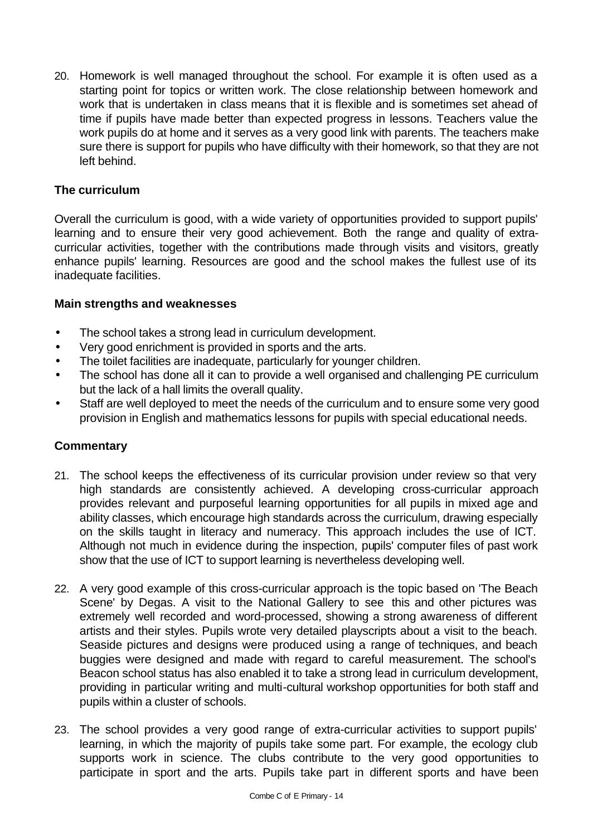20. Homework is well managed throughout the school. For example it is often used as a starting point for topics or written work. The close relationship between homework and work that is undertaken in class means that it is flexible and is sometimes set ahead of time if pupils have made better than expected progress in lessons. Teachers value the work pupils do at home and it serves as a very good link with parents. The teachers make sure there is support for pupils who have difficulty with their homework, so that they are not left behind.

## **The curriculum**

Overall the curriculum is good, with a wide variety of opportunities provided to support pupils' learning and to ensure their very good achievement. Both the range and quality of extracurricular activities, together with the contributions made through visits and visitors, greatly enhance pupils' learning. Resources are good and the school makes the fullest use of its inadequate facilities.

#### **Main strengths and weaknesses**

- The school takes a strong lead in curriculum development.
- Very good enrichment is provided in sports and the arts.
- The toilet facilities are inadequate, particularly for younger children.
- The school has done all it can to provide a well organised and challenging PE curriculum but the lack of a hall limits the overall quality.
- Staff are well deployed to meet the needs of the curriculum and to ensure some very good provision in English and mathematics lessons for pupils with special educational needs.

- 21. The school keeps the effectiveness of its curricular provision under review so that very high standards are consistently achieved. A developing cross-curricular approach provides relevant and purposeful learning opportunities for all pupils in mixed age and ability classes, which encourage high standards across the curriculum, drawing especially on the skills taught in literacy and numeracy. This approach includes the use of ICT. Although not much in evidence during the inspection, pupils' computer files of past work show that the use of ICT to support learning is nevertheless developing well.
- 22. A very good example of this cross-curricular approach is the topic based on 'The Beach Scene' by Degas. A visit to the National Gallery to see this and other pictures was extremely well recorded and word-processed, showing a strong awareness of different artists and their styles. Pupils wrote very detailed playscripts about a visit to the beach. Seaside pictures and designs were produced using a range of techniques, and beach buggies were designed and made with regard to careful measurement. The school's Beacon school status has also enabled it to take a strong lead in curriculum development, providing in particular writing and multi-cultural workshop opportunities for both staff and pupils within a cluster of schools.
- 23. The school provides a very good range of extra-curricular activities to support pupils' learning, in which the majority of pupils take some part. For example, the ecology club supports work in science. The clubs contribute to the very good opportunities to participate in sport and the arts. Pupils take part in different sports and have been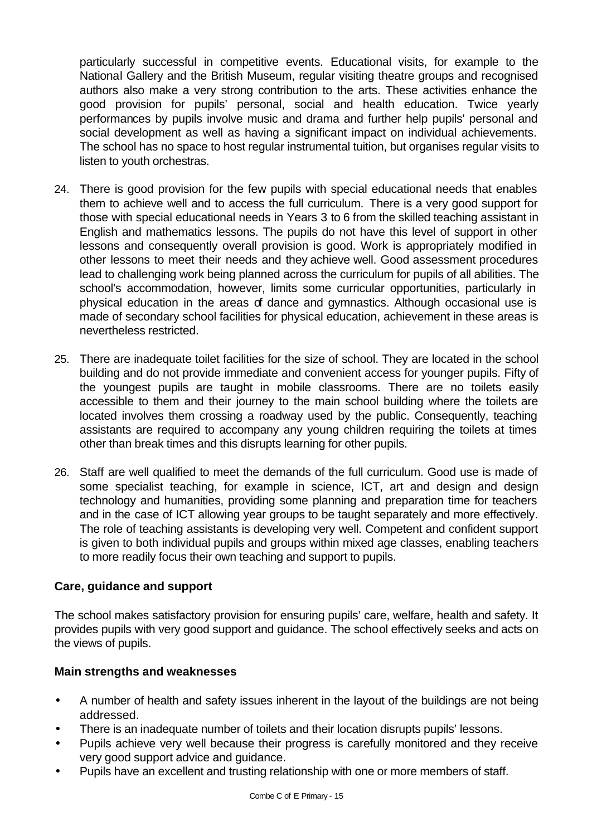particularly successful in competitive events. Educational visits, for example to the National Gallery and the British Museum, regular visiting theatre groups and recognised authors also make a very strong contribution to the arts. These activities enhance the good provision for pupils' personal, social and health education. Twice yearly performances by pupils involve music and drama and further help pupils' personal and social development as well as having a significant impact on individual achievements. The school has no space to host regular instrumental tuition, but organises regular visits to listen to youth orchestras.

- 24. There is good provision for the few pupils with special educational needs that enables them to achieve well and to access the full curriculum. There is a very good support for those with special educational needs in Years 3 to 6 from the skilled teaching assistant in English and mathematics lessons. The pupils do not have this level of support in other lessons and consequently overall provision is good. Work is appropriately modified in other lessons to meet their needs and they achieve well. Good assessment procedures lead to challenging work being planned across the curriculum for pupils of all abilities. The school's accommodation, however, limits some curricular opportunities, particularly in physical education in the areas of dance and gymnastics. Although occasional use is made of secondary school facilities for physical education, achievement in these areas is nevertheless restricted.
- 25. There are inadequate toilet facilities for the size of school. They are located in the school building and do not provide immediate and convenient access for younger pupils. Fifty of the youngest pupils are taught in mobile classrooms. There are no toilets easily accessible to them and their journey to the main school building where the toilets are located involves them crossing a roadway used by the public. Consequently, teaching assistants are required to accompany any young children requiring the toilets at times other than break times and this disrupts learning for other pupils.
- 26. Staff are well qualified to meet the demands of the full curriculum. Good use is made of some specialist teaching, for example in science, ICT, art and design and design technology and humanities, providing some planning and preparation time for teachers and in the case of ICT allowing year groups to be taught separately and more effectively. The role of teaching assistants is developing very well. Competent and confident support is given to both individual pupils and groups within mixed age classes, enabling teachers to more readily focus their own teaching and support to pupils.

## **Care, guidance and support**

The school makes satisfactory provision for ensuring pupils' care, welfare, health and safety. It provides pupils with very good support and guidance. The school effectively seeks and acts on the views of pupils.

## **Main strengths and weaknesses**

- A number of health and safety issues inherent in the layout of the buildings are not being addressed.
- There is an inadequate number of toilets and their location disrupts pupils' lessons.
- Pupils achieve very well because their progress is carefully monitored and they receive very good support advice and guidance.
- Pupils have an excellent and trusting relationship with one or more members of staff.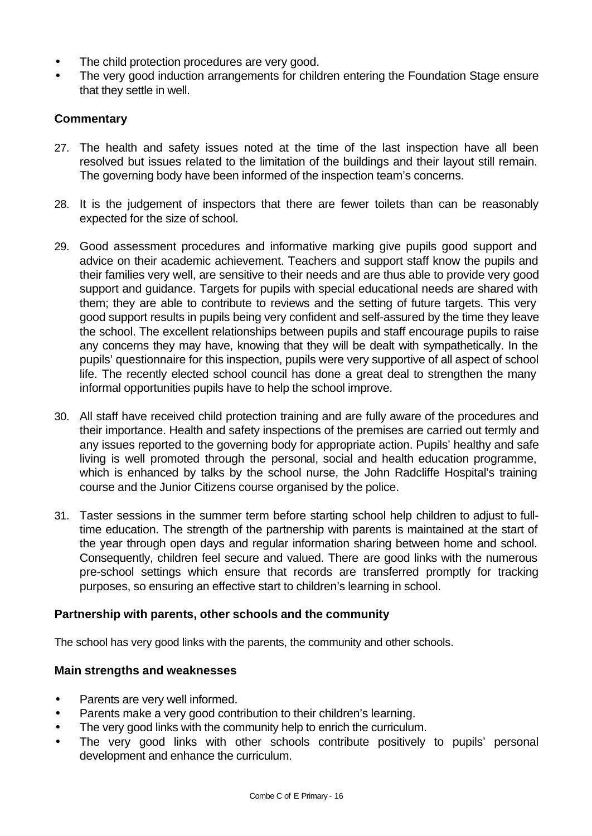- The child protection procedures are very good.
- The very good induction arrangements for children entering the Foundation Stage ensure that they settle in well.

## **Commentary**

- 27. The health and safety issues noted at the time of the last inspection have all been resolved but issues related to the limitation of the buildings and their layout still remain. The governing body have been informed of the inspection team's concerns.
- 28. It is the judgement of inspectors that there are fewer toilets than can be reasonably expected for the size of school.
- 29. Good assessment procedures and informative marking give pupils good support and advice on their academic achievement. Teachers and support staff know the pupils and their families very well, are sensitive to their needs and are thus able to provide very good support and guidance. Targets for pupils with special educational needs are shared with them; they are able to contribute to reviews and the setting of future targets. This very good support results in pupils being very confident and self-assured by the time they leave the school. The excellent relationships between pupils and staff encourage pupils to raise any concerns they may have, knowing that they will be dealt with sympathetically. In the pupils' questionnaire for this inspection, pupils were very supportive of all aspect of school life. The recently elected school council has done a great deal to strengthen the many informal opportunities pupils have to help the school improve.
- 30. All staff have received child protection training and are fully aware of the procedures and their importance. Health and safety inspections of the premises are carried out termly and any issues reported to the governing body for appropriate action. Pupils' healthy and safe living is well promoted through the personal, social and health education programme, which is enhanced by talks by the school nurse, the John Radcliffe Hospital's training course and the Junior Citizens course organised by the police.
- 31. Taster sessions in the summer term before starting school help children to adjust to fulltime education. The strength of the partnership with parents is maintained at the start of the year through open days and regular information sharing between home and school. Consequently, children feel secure and valued. There are good links with the numerous pre-school settings which ensure that records are transferred promptly for tracking purposes, so ensuring an effective start to children's learning in school.

## **Partnership with parents, other schools and the community**

The school has very good links with the parents, the community and other schools.

## **Main strengths and weaknesses**

- Parents are very well informed.
- Parents make a very good contribution to their children's learning.
- The very good links with the community help to enrich the curriculum.
- The very good links with other schools contribute positively to pupils' personal development and enhance the curriculum.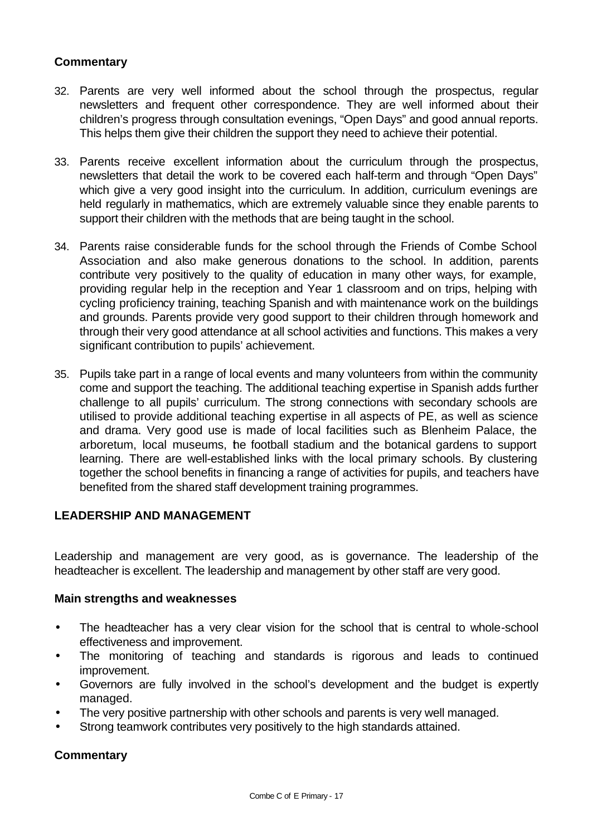## **Commentary**

- 32. Parents are very well informed about the school through the prospectus, regular newsletters and frequent other correspondence. They are well informed about their children's progress through consultation evenings, "Open Days" and good annual reports. This helps them give their children the support they need to achieve their potential.
- 33. Parents receive excellent information about the curriculum through the prospectus, newsletters that detail the work to be covered each half-term and through "Open Days" which give a very good insight into the curriculum. In addition, curriculum evenings are held regularly in mathematics, which are extremely valuable since they enable parents to support their children with the methods that are being taught in the school.
- 34. Parents raise considerable funds for the school through the Friends of Combe School Association and also make generous donations to the school. In addition, parents contribute very positively to the quality of education in many other ways, for example, providing regular help in the reception and Year 1 classroom and on trips, helping with cycling proficiency training, teaching Spanish and with maintenance work on the buildings and grounds. Parents provide very good support to their children through homework and through their very good attendance at all school activities and functions. This makes a very significant contribution to pupils' achievement.
- 35. Pupils take part in a range of local events and many volunteers from within the community come and support the teaching. The additional teaching expertise in Spanish adds further challenge to all pupils' curriculum. The strong connections with secondary schools are utilised to provide additional teaching expertise in all aspects of PE, as well as science and drama. Very good use is made of local facilities such as Blenheim Palace, the arboretum, local museums, the football stadium and the botanical gardens to support learning. There are well-established links with the local primary schools. By clustering together the school benefits in financing a range of activities for pupils, and teachers have benefited from the shared staff development training programmes.

## **LEADERSHIP AND MANAGEMENT**

Leadership and management are very good, as is governance. The leadership of the headteacher is excellent. The leadership and management by other staff are very good.

#### **Main strengths and weaknesses**

- The headteacher has a very clear vision for the school that is central to whole-school effectiveness and improvement.
- The monitoring of teaching and standards is rigorous and leads to continued improvement.
- Governors are fully involved in the school's development and the budget is expertly managed.
- The very positive partnership with other schools and parents is very well managed.
- Strong teamwork contributes very positively to the high standards attained.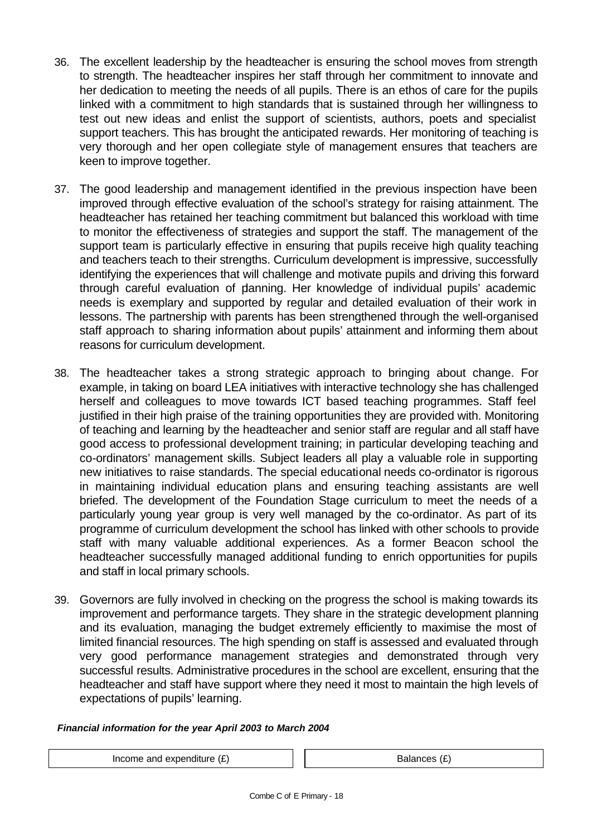- 36. The excellent leadership by the headteacher is ensuring the school moves from strength to strength. The headteacher inspires her staff through her commitment to innovate and her dedication to meeting the needs of all pupils. There is an ethos of care for the pupils linked with a commitment to high standards that is sustained through her willingness to test out new ideas and enlist the support of scientists, authors, poets and specialist support teachers. This has brought the anticipated rewards. Her monitoring of teaching is very thorough and her open collegiate style of management ensures that teachers are keen to improve together.
- 37. The good leadership and management identified in the previous inspection have been improved through effective evaluation of the school's strategy for raising attainment. The headteacher has retained her teaching commitment but balanced this workload with time to monitor the effectiveness of strategies and support the staff. The management of the support team is particularly effective in ensuring that pupils receive high quality teaching and teachers teach to their strengths. Curriculum development is impressive, successfully identifying the experiences that will challenge and motivate pupils and driving this forward through careful evaluation of planning. Her knowledge of individual pupils' academic needs is exemplary and supported by regular and detailed evaluation of their work in lessons. The partnership with parents has been strengthened through the well-organised staff approach to sharing information about pupils' attainment and informing them about reasons for curriculum development.
- 38. The headteacher takes a strong strategic approach to bringing about change. For example, in taking on board LEA initiatives with interactive technology she has challenged herself and colleagues to move towards ICT based teaching programmes. Staff feel justified in their high praise of the training opportunities they are provided with. Monitoring of teaching and learning by the headteacher and senior staff are regular and all staff have good access to professional development training; in particular developing teaching and co-ordinators' management skills. Subject leaders all play a valuable role in supporting new initiatives to raise standards. The special educational needs co-ordinator is rigorous in maintaining individual education plans and ensuring teaching assistants are well briefed. The development of the Foundation Stage curriculum to meet the needs of a particularly young year group is very well managed by the co-ordinator. As part of its programme of curriculum development the school has linked with other schools to provide staff with many valuable additional experiences. As a former Beacon school the headteacher successfully managed additional funding to enrich opportunities for pupils and staff in local primary schools.
- 39. Governors are fully involved in checking on the progress the school is making towards its improvement and performance targets. They share in the strategic development planning and its evaluation, managing the budget extremely efficiently to maximise the most of limited financial resources. The high spending on staff is assessed and evaluated through very good performance management strategies and demonstrated through very successful results. Administrative procedures in the school are excellent, ensuring that the headteacher and staff have support where they need it most to maintain the high levels of expectations of pupils' learning.

#### *Financial information for the year April 2003 to March 2004*

Income and expenditure  $(E)$   $\qquad$   $\qquad$   $\qquad$  Balances  $(E)$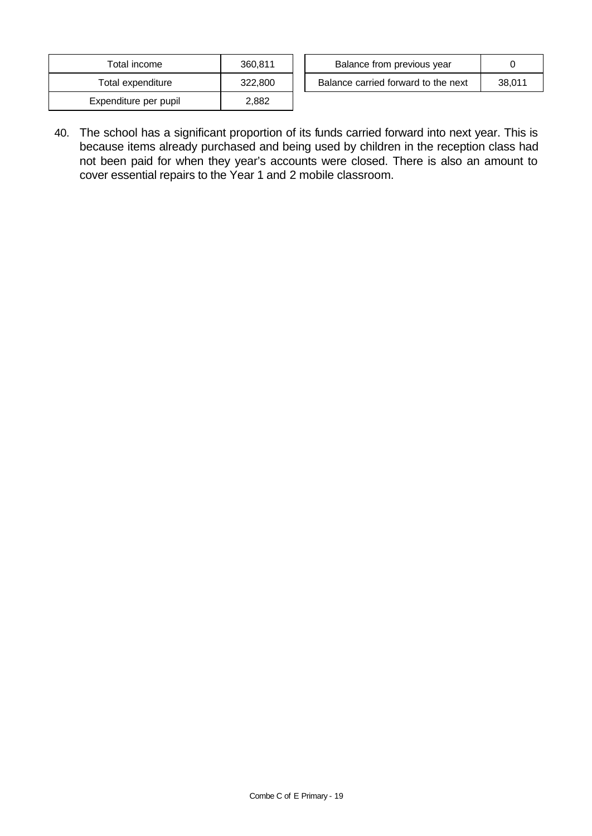| Total income          | 360.811 |
|-----------------------|---------|
| Total expenditure     | 322,800 |
| Expenditure per pupil | 2.882   |

| Total income      | 360.811 | Balance from previous year          |        |
|-------------------|---------|-------------------------------------|--------|
| Total expenditure | 322,800 | Balance carried forward to the next | 38.011 |

40. The school has a significant proportion of its funds carried forward into next year. This is because items already purchased and being used by children in the reception class had not been paid for when they year's accounts were closed. There is also an amount to cover essential repairs to the Year 1 and 2 mobile classroom.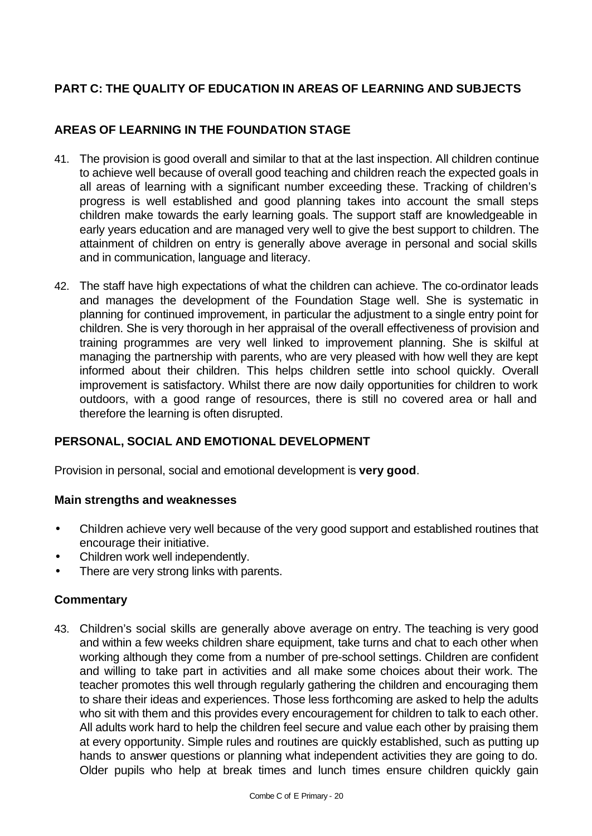# **PART C: THE QUALITY OF EDUCATION IN AREAS OF LEARNING AND SUBJECTS**

## **AREAS OF LEARNING IN THE FOUNDATION STAGE**

- 41. The provision is good overall and similar to that at the last inspection. All children continue to achieve well because of overall good teaching and children reach the expected goals in all areas of learning with a significant number exceeding these. Tracking of children's progress is well established and good planning takes into account the small steps children make towards the early learning goals. The support staff are knowledgeable in early years education and are managed very well to give the best support to children. The attainment of children on entry is generally above average in personal and social skills and in communication, language and literacy.
- 42. The staff have high expectations of what the children can achieve. The co-ordinator leads and manages the development of the Foundation Stage well. She is systematic in planning for continued improvement, in particular the adjustment to a single entry point for children. She is very thorough in her appraisal of the overall effectiveness of provision and training programmes are very well linked to improvement planning. She is skilful at managing the partnership with parents, who are very pleased with how well they are kept informed about their children. This helps children settle into school quickly. Overall improvement is satisfactory. Whilst there are now daily opportunities for children to work outdoors, with a good range of resources, there is still no covered area or hall and therefore the learning is often disrupted.

## **PERSONAL, SOCIAL AND EMOTIONAL DEVELOPMENT**

Provision in personal, social and emotional development is **very good**.

## **Main strengths and weaknesses**

- Children achieve very well because of the very good support and established routines that encourage their initiative.
- Children work well independently.
- There are very strong links with parents.

## **Commentary**

43. Children's social skills are generally above average on entry. The teaching is very good and within a few weeks children share equipment, take turns and chat to each other when working although they come from a number of pre-school settings. Children are confident and willing to take part in activities and all make some choices about their work. The teacher promotes this well through regularly gathering the children and encouraging them to share their ideas and experiences. Those less forthcoming are asked to help the adults who sit with them and this provides every encouragement for children to talk to each other. All adults work hard to help the children feel secure and value each other by praising them at every opportunity. Simple rules and routines are quickly established, such as putting up hands to answer questions or planning what independent activities they are going to do. Older pupils who help at break times and lunch times ensure children quickly gain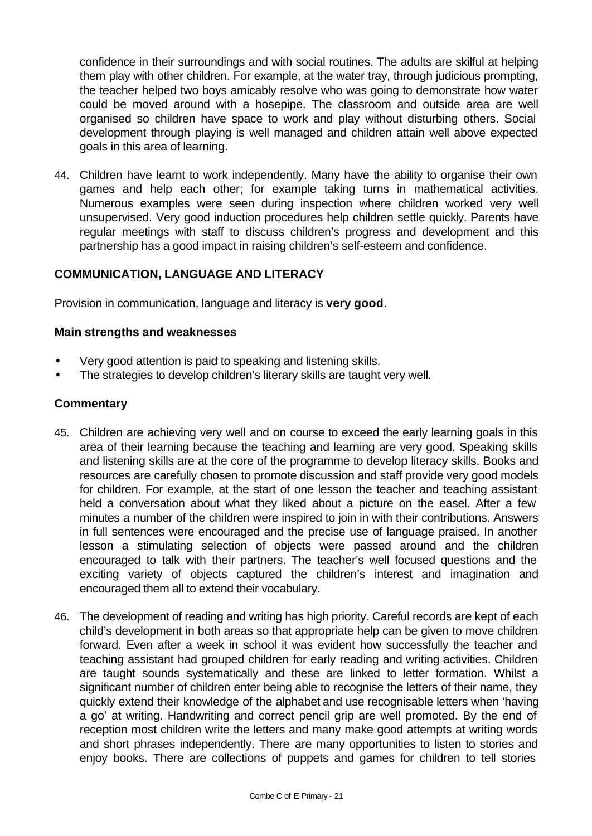confidence in their surroundings and with social routines. The adults are skilful at helping them play with other children. For example, at the water tray, through judicious prompting, the teacher helped two boys amicably resolve who was going to demonstrate how water could be moved around with a hosepipe. The classroom and outside area are well organised so children have space to work and play without disturbing others. Social development through playing is well managed and children attain well above expected goals in this area of learning.

44. Children have learnt to work independently. Many have the ability to organise their own games and help each other; for example taking turns in mathematical activities. Numerous examples were seen during inspection where children worked very well unsupervised. Very good induction procedures help children settle quickly. Parents have regular meetings with staff to discuss children's progress and development and this partnership has a good impact in raising children's self-esteem and confidence.

## **COMMUNICATION, LANGUAGE AND LITERACY**

Provision in communication, language and literacy is **very good**.

#### **Main strengths and weaknesses**

- Very good attention is paid to speaking and listening skills.
- The strategies to develop children's literary skills are taught very well.

- 45. Children are achieving very well and on course to exceed the early learning goals in this area of their learning because the teaching and learning are very good. Speaking skills and listening skills are at the core of the programme to develop literacy skills. Books and resources are carefully chosen to promote discussion and staff provide very good models for children. For example, at the start of one lesson the teacher and teaching assistant held a conversation about what they liked about a picture on the easel. After a few minutes a number of the children were inspired to join in with their contributions. Answers in full sentences were encouraged and the precise use of language praised. In another lesson a stimulating selection of objects were passed around and the children encouraged to talk with their partners. The teacher's well focused questions and the exciting variety of objects captured the children's interest and imagination and encouraged them all to extend their vocabulary.
- 46. The development of reading and writing has high priority. Careful records are kept of each child's development in both areas so that appropriate help can be given to move children forward. Even after a week in school it was evident how successfully the teacher and teaching assistant had grouped children for early reading and writing activities. Children are taught sounds systematically and these are linked to letter formation. Whilst a significant number of children enter being able to recognise the letters of their name, they quickly extend their knowledge of the alphabet and use recognisable letters when 'having a go' at writing. Handwriting and correct pencil grip are well promoted. By the end of reception most children write the letters and many make good attempts at writing words and short phrases independently. There are many opportunities to listen to stories and enjoy books. There are collections of puppets and games for children to tell stories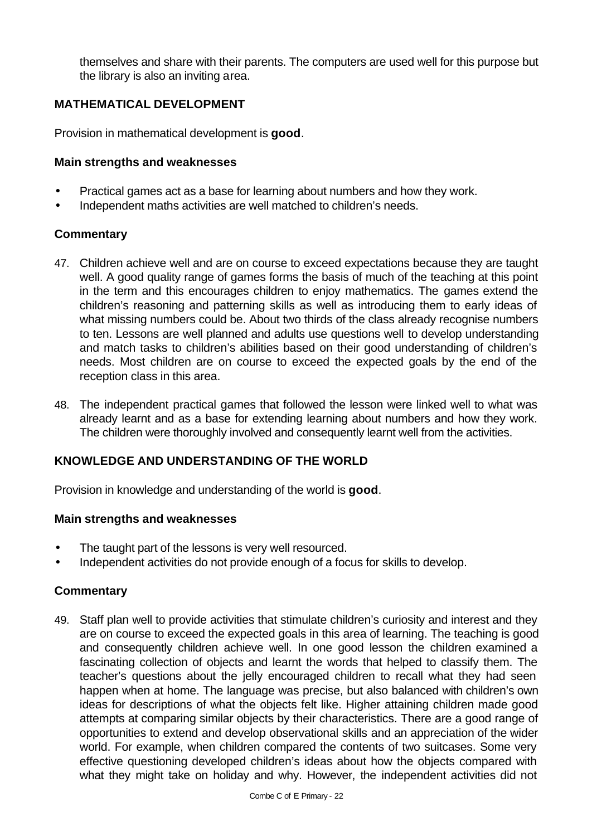themselves and share with their parents. The computers are used well for this purpose but the library is also an inviting area.

## **MATHEMATICAL DEVELOPMENT**

Provision in mathematical development is **good**.

#### **Main strengths and weaknesses**

- Practical games act as a base for learning about numbers and how they work.
- Independent maths activities are well matched to children's needs.

## **Commentary**

- 47. Children achieve well and are on course to exceed expectations because they are taught well. A good quality range of games forms the basis of much of the teaching at this point in the term and this encourages children to enjoy mathematics. The games extend the children's reasoning and patterning skills as well as introducing them to early ideas of what missing numbers could be. About two thirds of the class already recognise numbers to ten. Lessons are well planned and adults use questions well to develop understanding and match tasks to children's abilities based on their good understanding of children's needs. Most children are on course to exceed the expected goals by the end of the reception class in this area.
- 48. The independent practical games that followed the lesson were linked well to what was already learnt and as a base for extending learning about numbers and how they work. The children were thoroughly involved and consequently learnt well from the activities.

## **KNOWLEDGE AND UNDERSTANDING OF THE WORLD**

Provision in knowledge and understanding of the world is **good**.

## **Main strengths and weaknesses**

- The taught part of the lessons is very well resourced.
- Independent activities do not provide enough of a focus for skills to develop.

## **Commentary**

49. Staff plan well to provide activities that stimulate children's curiosity and interest and they are on course to exceed the expected goals in this area of learning. The teaching is good and consequently children achieve well. In one good lesson the children examined a fascinating collection of objects and learnt the words that helped to classify them. The teacher's questions about the jelly encouraged children to recall what they had seen happen when at home. The language was precise, but also balanced with children's own ideas for descriptions of what the objects felt like. Higher attaining children made good attempts at comparing similar objects by their characteristics. There are a good range of opportunities to extend and develop observational skills and an appreciation of the wider world. For example, when children compared the contents of two suitcases. Some very effective questioning developed children's ideas about how the objects compared with what they might take on holiday and why. However, the independent activities did not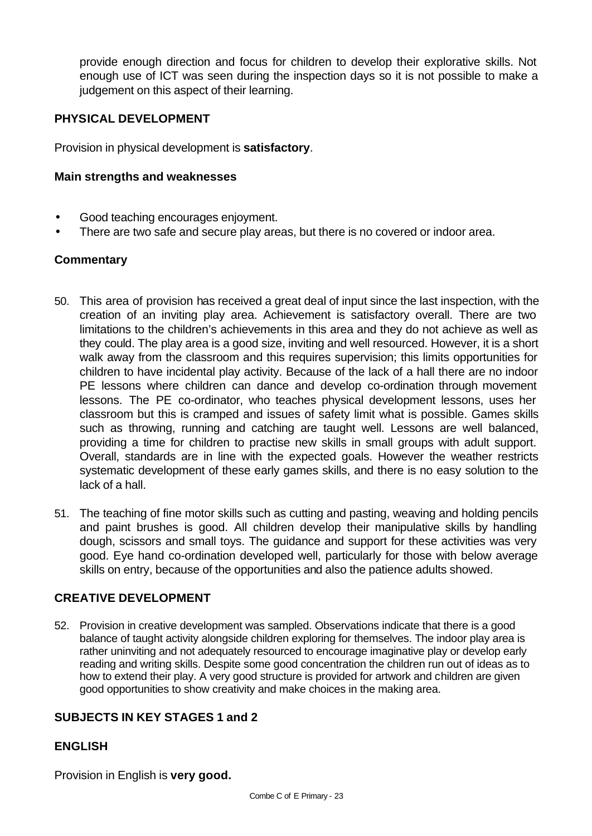provide enough direction and focus for children to develop their explorative skills. Not enough use of ICT was seen during the inspection days so it is not possible to make a judgement on this aspect of their learning.

## **PHYSICAL DEVELOPMENT**

Provision in physical development is **satisfactory**.

#### **Main strengths and weaknesses**

- Good teaching encourages enjoyment.
- There are two safe and secure play areas, but there is no covered or indoor area.

## **Commentary**

- 50. This area of provision has received a great deal of input since the last inspection, with the creation of an inviting play area. Achievement is satisfactory overall. There are two limitations to the children's achievements in this area and they do not achieve as well as they could. The play area is a good size, inviting and well resourced. However, it is a short walk away from the classroom and this requires supervision; this limits opportunities for children to have incidental play activity. Because of the lack of a hall there are no indoor PE lessons where children can dance and develop co-ordination through movement lessons. The PE co-ordinator, who teaches physical development lessons, uses her classroom but this is cramped and issues of safety limit what is possible. Games skills such as throwing, running and catching are taught well. Lessons are well balanced, providing a time for children to practise new skills in small groups with adult support. Overall, standards are in line with the expected goals. However the weather restricts systematic development of these early games skills, and there is no easy solution to the lack of a hall.
- 51. The teaching of fine motor skills such as cutting and pasting, weaving and holding pencils and paint brushes is good. All children develop their manipulative skills by handling dough, scissors and small toys. The guidance and support for these activities was very good. Eye hand co-ordination developed well, particularly for those with below average skills on entry, because of the opportunities and also the patience adults showed.

## **CREATIVE DEVELOPMENT**

52. Provision in creative development was sampled. Observations indicate that there is a good balance of taught activity alongside children exploring for themselves. The indoor play area is rather uninviting and not adequately resourced to encourage imaginative play or develop early reading and writing skills. Despite some good concentration the children run out of ideas as to how to extend their play. A very good structure is provided for artwork and children are given good opportunities to show creativity and make choices in the making area.

## **SUBJECTS IN KEY STAGES 1 and 2**

## **ENGLISH**

Provision in English is **very good.**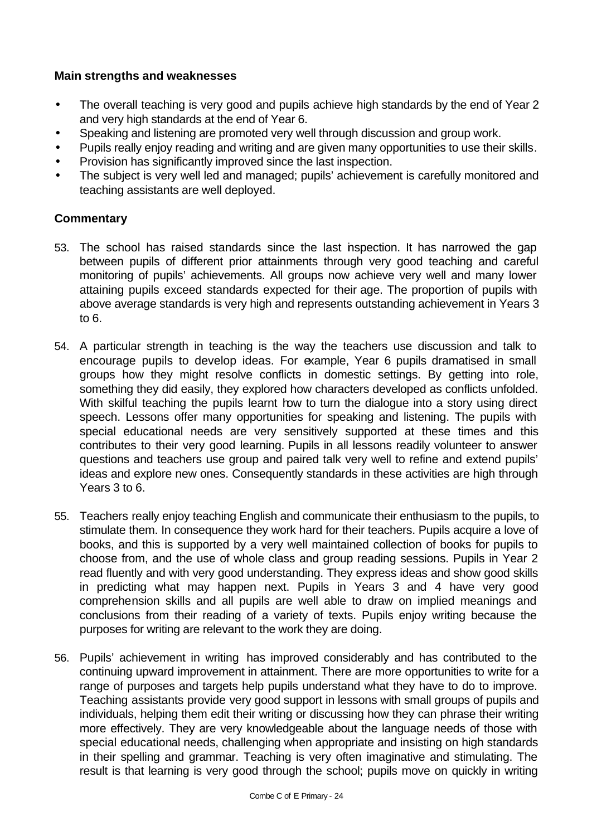## **Main strengths and weaknesses**

- The overall teaching is very good and pupils achieve high standards by the end of Year 2 and very high standards at the end of Year 6.
- Speaking and listening are promoted very well through discussion and group work.
- Pupils really enjoy reading and writing and are given many opportunities to use their skills.
- Provision has significantly improved since the last inspection.
- The subject is very well led and managed; pupils' achievement is carefully monitored and teaching assistants are well deployed.

- 53. The school has raised standards since the last inspection. It has narrowed the gap between pupils of different prior attainments through very good teaching and careful monitoring of pupils' achievements. All groups now achieve very well and many lower attaining pupils exceed standards expected for their age. The proportion of pupils with above average standards is very high and represents outstanding achievement in Years 3 to 6.
- 54. A particular strength in teaching is the way the teachers use discussion and talk to encourage pupils to develop ideas. For example, Year 6 pupils dramatised in small groups how they might resolve conflicts in domestic settings. By getting into role, something they did easily, they explored how characters developed as conflicts unfolded. With skilful teaching the pupils learnt how to turn the dialogue into a story using direct speech. Lessons offer many opportunities for speaking and listening. The pupils with special educational needs are very sensitively supported at these times and this contributes to their very good learning. Pupils in all lessons readily volunteer to answer questions and teachers use group and paired talk very well to refine and extend pupils' ideas and explore new ones. Consequently standards in these activities are high through Years 3 to 6.
- 55. Teachers really enjoy teaching English and communicate their enthusiasm to the pupils, to stimulate them. In consequence they work hard for their teachers. Pupils acquire a love of books, and this is supported by a very well maintained collection of books for pupils to choose from, and the use of whole class and group reading sessions. Pupils in Year 2 read fluently and with very good understanding. They express ideas and show good skills in predicting what may happen next. Pupils in Years 3 and 4 have very good comprehension skills and all pupils are well able to draw on implied meanings and conclusions from their reading of a variety of texts. Pupils enjoy writing because the purposes for writing are relevant to the work they are doing.
- 56. Pupils' achievement in writing has improved considerably and has contributed to the continuing upward improvement in attainment. There are more opportunities to write for a range of purposes and targets help pupils understand what they have to do to improve. Teaching assistants provide very good support in lessons with small groups of pupils and individuals, helping them edit their writing or discussing how they can phrase their writing more effectively. They are very knowledgeable about the language needs of those with special educational needs, challenging when appropriate and insisting on high standards in their spelling and grammar. Teaching is very often imaginative and stimulating. The result is that learning is very good through the school; pupils move on quickly in writing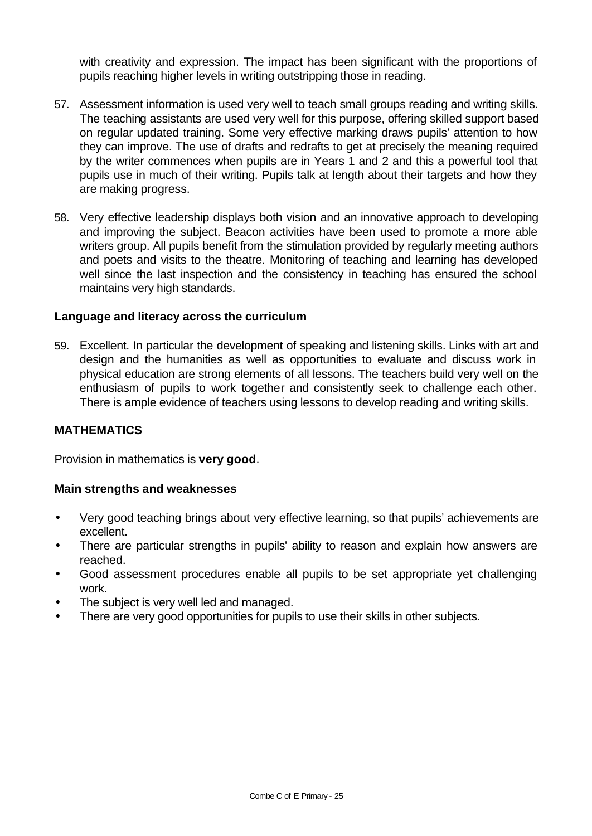with creativity and expression. The impact has been significant with the proportions of pupils reaching higher levels in writing outstripping those in reading.

- 57. Assessment information is used very well to teach small groups reading and writing skills. The teaching assistants are used very well for this purpose, offering skilled support based on regular updated training. Some very effective marking draws pupils' attention to how they can improve. The use of drafts and redrafts to get at precisely the meaning required by the writer commences when pupils are in Years 1 and 2 and this a powerful tool that pupils use in much of their writing. Pupils talk at length about their targets and how they are making progress.
- 58. Very effective leadership displays both vision and an innovative approach to developing and improving the subject. Beacon activities have been used to promote a more able writers group. All pupils benefit from the stimulation provided by regularly meeting authors and poets and visits to the theatre. Monitoring of teaching and learning has developed well since the last inspection and the consistency in teaching has ensured the school maintains very high standards.

## **Language and literacy across the curriculum**

59. Excellent. In particular the development of speaking and listening skills. Links with art and design and the humanities as well as opportunities to evaluate and discuss work in physical education are strong elements of all lessons. The teachers build very well on the enthusiasm of pupils to work together and consistently seek to challenge each other. There is ample evidence of teachers using lessons to develop reading and writing skills.

## **MATHEMATICS**

Provision in mathematics is **very good**.

#### **Main strengths and weaknesses**

- Very good teaching brings about very effective learning, so that pupils' achievements are excellent.
- There are particular strengths in pupils' ability to reason and explain how answers are reached.
- Good assessment procedures enable all pupils to be set appropriate yet challenging work.
- The subject is very well led and managed.
- There are very good opportunities for pupils to use their skills in other subjects.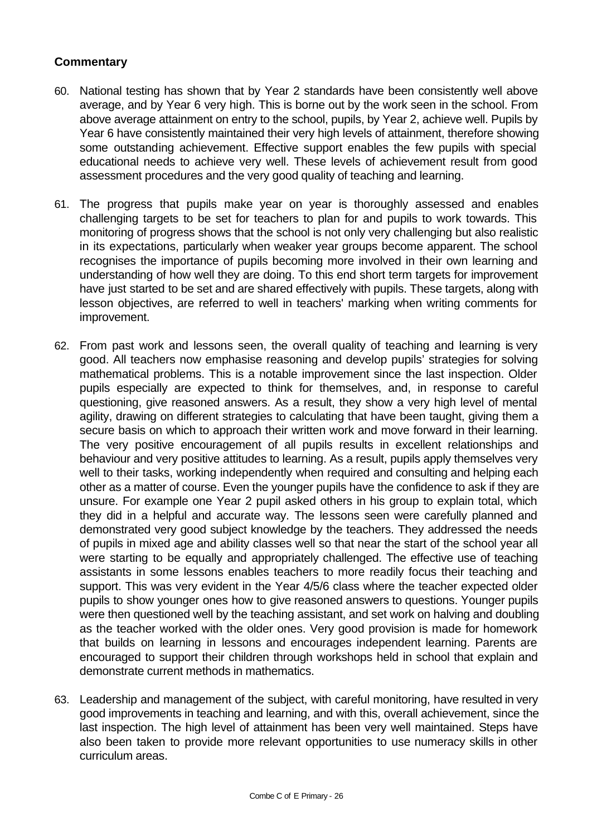- 60. National testing has shown that by Year 2 standards have been consistently well above average, and by Year 6 very high. This is borne out by the work seen in the school. From above average attainment on entry to the school, pupils, by Year 2, achieve well. Pupils by Year 6 have consistently maintained their very high levels of attainment, therefore showing some outstanding achievement. Effective support enables the few pupils with special educational needs to achieve very well. These levels of achievement result from good assessment procedures and the very good quality of teaching and learning.
- 61. The progress that pupils make year on year is thoroughly assessed and enables challenging targets to be set for teachers to plan for and pupils to work towards. This monitoring of progress shows that the school is not only very challenging but also realistic in its expectations, particularly when weaker year groups become apparent. The school recognises the importance of pupils becoming more involved in their own learning and understanding of how well they are doing. To this end short term targets for improvement have just started to be set and are shared effectively with pupils. These targets, along with lesson objectives, are referred to well in teachers' marking when writing comments for improvement.
- 62. From past work and lessons seen, the overall quality of teaching and learning is very good. All teachers now emphasise reasoning and develop pupils' strategies for solving mathematical problems. This is a notable improvement since the last inspection. Older pupils especially are expected to think for themselves, and, in response to careful questioning, give reasoned answers. As a result, they show a very high level of mental agility, drawing on different strategies to calculating that have been taught, giving them a secure basis on which to approach their written work and move forward in their learning. The very positive encouragement of all pupils results in excellent relationships and behaviour and very positive attitudes to learning. As a result, pupils apply themselves very well to their tasks, working independently when required and consulting and helping each other as a matter of course. Even the younger pupils have the confidence to ask if they are unsure. For example one Year 2 pupil asked others in his group to explain total, which they did in a helpful and accurate way. The lessons seen were carefully planned and demonstrated very good subject knowledge by the teachers. They addressed the needs of pupils in mixed age and ability classes well so that near the start of the school year all were starting to be equally and appropriately challenged. The effective use of teaching assistants in some lessons enables teachers to more readily focus their teaching and support. This was very evident in the Year 4/5/6 class where the teacher expected older pupils to show younger ones how to give reasoned answers to questions. Younger pupils were then questioned well by the teaching assistant, and set work on halving and doubling as the teacher worked with the older ones. Very good provision is made for homework that builds on learning in lessons and encourages independent learning. Parents are encouraged to support their children through workshops held in school that explain and demonstrate current methods in mathematics.
- 63. Leadership and management of the subject, with careful monitoring, have resulted in very good improvements in teaching and learning, and with this, overall achievement, since the last inspection. The high level of attainment has been very well maintained. Steps have also been taken to provide more relevant opportunities to use numeracy skills in other curriculum areas.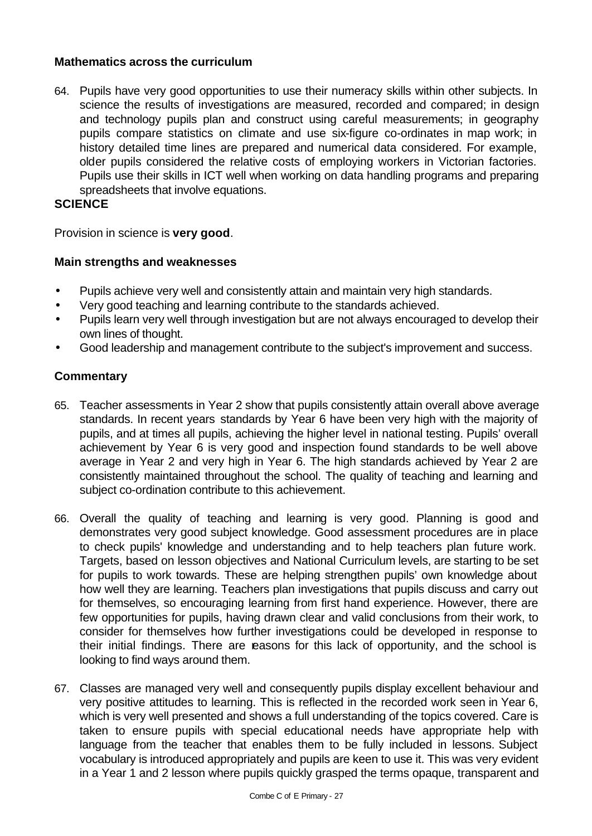## **Mathematics across the curriculum**

64. Pupils have very good opportunities to use their numeracy skills within other subjects. In science the results of investigations are measured, recorded and compared; in design and technology pupils plan and construct using careful measurements; in geography pupils compare statistics on climate and use six-figure co-ordinates in map work; in history detailed time lines are prepared and numerical data considered. For example, older pupils considered the relative costs of employing workers in Victorian factories. Pupils use their skills in ICT well when working on data handling programs and preparing spreadsheets that involve equations.

## **SCIENCE**

Provision in science is **very good**.

## **Main strengths and weaknesses**

- Pupils achieve very well and consistently attain and maintain very high standards.
- Very good teaching and learning contribute to the standards achieved.
- Pupils learn very well through investigation but are not always encouraged to develop their own lines of thought.
- Good leadership and management contribute to the subject's improvement and success.

- 65. Teacher assessments in Year 2 show that pupils consistently attain overall above average standards. In recent years standards by Year 6 have been very high with the majority of pupils, and at times all pupils, achieving the higher level in national testing. Pupils' overall achievement by Year 6 is very good and inspection found standards to be well above average in Year 2 and very high in Year 6. The high standards achieved by Year 2 are consistently maintained throughout the school. The quality of teaching and learning and subject co-ordination contribute to this achievement.
- 66. Overall the quality of teaching and learning is very good. Planning is good and demonstrates very good subject knowledge. Good assessment procedures are in place to check pupils' knowledge and understanding and to help teachers plan future work. Targets, based on lesson objectives and National Curriculum levels, are starting to be set for pupils to work towards. These are helping strengthen pupils' own knowledge about how well they are learning. Teachers plan investigations that pupils discuss and carry out for themselves, so encouraging learning from first hand experience. However, there are few opportunities for pupils, having drawn clear and valid conclusions from their work, to consider for themselves how further investigations could be developed in response to their initial findings. There are reasons for this lack of opportunity, and the school is looking to find ways around them.
- 67. Classes are managed very well and consequently pupils display excellent behaviour and very positive attitudes to learning. This is reflected in the recorded work seen in Year 6, which is very well presented and shows a full understanding of the topics covered. Care is taken to ensure pupils with special educational needs have appropriate help with language from the teacher that enables them to be fully included in lessons. Subject vocabulary is introduced appropriately and pupils are keen to use it. This was very evident in a Year 1 and 2 lesson where pupils quickly grasped the terms opaque, transparent and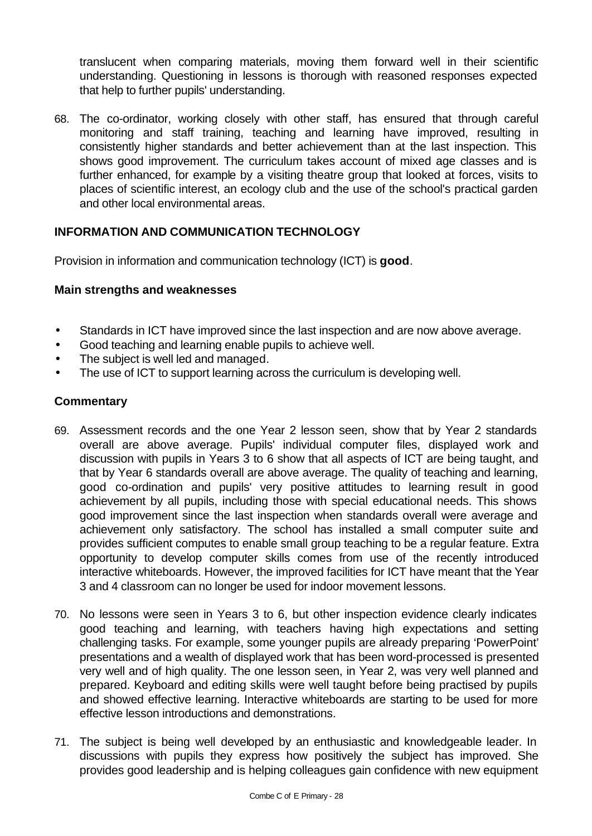translucent when comparing materials, moving them forward well in their scientific understanding. Questioning in lessons is thorough with reasoned responses expected that help to further pupils' understanding.

68. The co-ordinator, working closely with other staff, has ensured that through careful monitoring and staff training, teaching and learning have improved, resulting in consistently higher standards and better achievement than at the last inspection. This shows good improvement. The curriculum takes account of mixed age classes and is further enhanced, for example by a visiting theatre group that looked at forces, visits to places of scientific interest, an ecology club and the use of the school's practical garden and other local environmental areas.

## **INFORMATION AND COMMUNICATION TECHNOLOGY**

Provision in information and communication technology (ICT) is **good**.

## **Main strengths and weaknesses**

- Standards in ICT have improved since the last inspection and are now above average.
- Good teaching and learning enable pupils to achieve well.
- The subject is well led and managed.
- The use of ICT to support learning across the curriculum is developing well.

- 69. Assessment records and the one Year 2 lesson seen, show that by Year 2 standards overall are above average. Pupils' individual computer files, displayed work and discussion with pupils in Years 3 to 6 show that all aspects of ICT are being taught, and that by Year 6 standards overall are above average. The quality of teaching and learning, good co-ordination and pupils' very positive attitudes to learning result in good achievement by all pupils, including those with special educational needs. This shows good improvement since the last inspection when standards overall were average and achievement only satisfactory. The school has installed a small computer suite and provides sufficient computes to enable small group teaching to be a regular feature. Extra opportunity to develop computer skills comes from use of the recently introduced interactive whiteboards. However, the improved facilities for ICT have meant that the Year 3 and 4 classroom can no longer be used for indoor movement lessons.
- 70. No lessons were seen in Years 3 to 6, but other inspection evidence clearly indicates good teaching and learning, with teachers having high expectations and setting challenging tasks. For example, some younger pupils are already preparing 'PowerPoint' presentations and a wealth of displayed work that has been word-processed is presented very well and of high quality. The one lesson seen, in Year 2, was very well planned and prepared. Keyboard and editing skills were well taught before being practised by pupils and showed effective learning. Interactive whiteboards are starting to be used for more effective lesson introductions and demonstrations.
- 71. The subject is being well developed by an enthusiastic and knowledgeable leader. In discussions with pupils they express how positively the subject has improved. She provides good leadership and is helping colleagues gain confidence with new equipment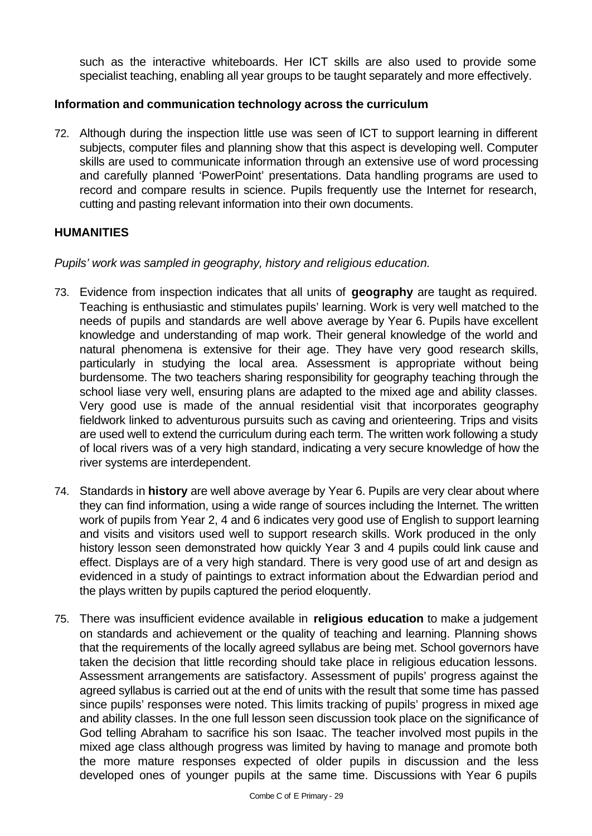such as the interactive whiteboards. Her ICT skills are also used to provide some specialist teaching, enabling all year groups to be taught separately and more effectively.

## **Information and communication technology across the curriculum**

72. Although during the inspection little use was seen of ICT to support learning in different subjects, computer files and planning show that this aspect is developing well. Computer skills are used to communicate information through an extensive use of word processing and carefully planned 'PowerPoint' presentations. Data handling programs are used to record and compare results in science. Pupils frequently use the Internet for research, cutting and pasting relevant information into their own documents.

## **HUMANITIES**

*Pupils' work was sampled in geography, history and religious education.*

- 73. Evidence from inspection indicates that all units of **geography** are taught as required. Teaching is enthusiastic and stimulates pupils' learning. Work is very well matched to the needs of pupils and standards are well above average by Year 6. Pupils have excellent knowledge and understanding of map work. Their general knowledge of the world and natural phenomena is extensive for their age. They have very good research skills, particularly in studying the local area. Assessment is appropriate without being burdensome. The two teachers sharing responsibility for geography teaching through the school liase very well, ensuring plans are adapted to the mixed age and ability classes. Very good use is made of the annual residential visit that incorporates geography fieldwork linked to adventurous pursuits such as caving and orienteering. Trips and visits are used well to extend the curriculum during each term. The written work following a study of local rivers was of a very high standard, indicating a very secure knowledge of how the river systems are interdependent.
- 74. Standards in **history** are well above average by Year 6. Pupils are very clear about where they can find information, using a wide range of sources including the Internet. The written work of pupils from Year 2, 4 and 6 indicates very good use of English to support learning and visits and visitors used well to support research skills. Work produced in the only history lesson seen demonstrated how quickly Year 3 and 4 pupils could link cause and effect. Displays are of a very high standard. There is very good use of art and design as evidenced in a study of paintings to extract information about the Edwardian period and the plays written by pupils captured the period eloquently.
- 75. There was insufficient evidence available in **religious education** to make a judgement on standards and achievement or the quality of teaching and learning. Planning shows that the requirements of the locally agreed syllabus are being met. School governors have taken the decision that little recording should take place in religious education lessons. Assessment arrangements are satisfactory. Assessment of pupils' progress against the agreed syllabus is carried out at the end of units with the result that some time has passed since pupils' responses were noted. This limits tracking of pupils' progress in mixed age and ability classes. In the one full lesson seen discussion took place on the significance of God telling Abraham to sacrifice his son Isaac. The teacher involved most pupils in the mixed age class although progress was limited by having to manage and promote both the more mature responses expected of older pupils in discussion and the less developed ones of younger pupils at the same time. Discussions with Year 6 pupils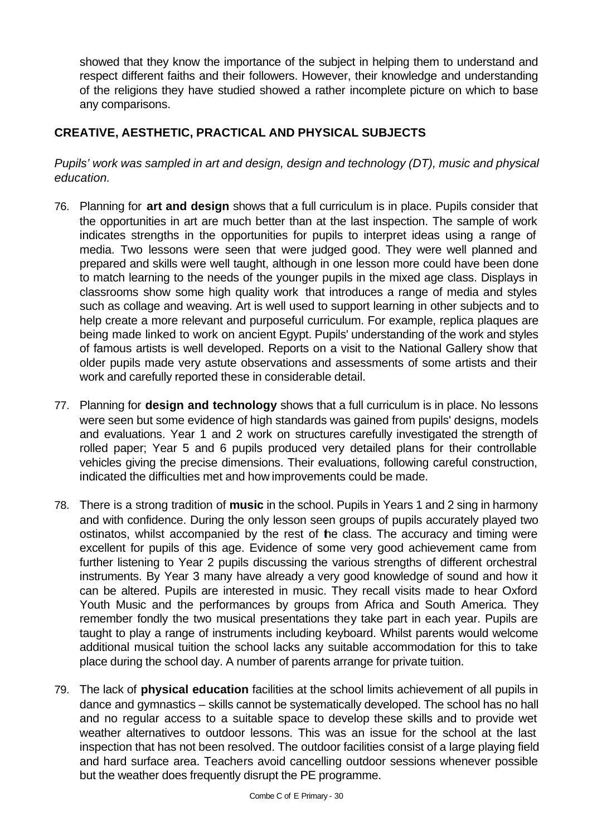showed that they know the importance of the subject in helping them to understand and respect different faiths and their followers. However, their knowledge and understanding of the religions they have studied showed a rather incomplete picture on which to base any comparisons.

## **CREATIVE, AESTHETIC, PRACTICAL AND PHYSICAL SUBJECTS**

*Pupils' work was sampled in art and design, design and technology (DT), music and physical education.*

- 76. Planning for **art and design** shows that a full curriculum is in place. Pupils consider that the opportunities in art are much better than at the last inspection. The sample of work indicates strengths in the opportunities for pupils to interpret ideas using a range of media. Two lessons were seen that were judged good. They were well planned and prepared and skills were well taught, although in one lesson more could have been done to match learning to the needs of the younger pupils in the mixed age class. Displays in classrooms show some high quality work that introduces a range of media and styles such as collage and weaving. Art is well used to support learning in other subjects and to help create a more relevant and purposeful curriculum. For example, replica plaques are being made linked to work on ancient Egypt. Pupils' understanding of the work and styles of famous artists is well developed. Reports on a visit to the National Gallery show that older pupils made very astute observations and assessments of some artists and their work and carefully reported these in considerable detail.
- 77. Planning for **design and technology** shows that a full curriculum is in place. No lessons were seen but some evidence of high standards was gained from pupils' designs, models and evaluations. Year 1 and 2 work on structures carefully investigated the strength of rolled paper; Year 5 and 6 pupils produced very detailed plans for their controllable vehicles giving the precise dimensions. Their evaluations, following careful construction, indicated the difficulties met and how improvements could be made.
- 78. There is a strong tradition of **music** in the school. Pupils in Years 1 and 2 sing in harmony and with confidence. During the only lesson seen groups of pupils accurately played two ostinatos, whilst accompanied by the rest of the class. The accuracy and timing were excellent for pupils of this age. Evidence of some very good achievement came from further listening to Year 2 pupils discussing the various strengths of different orchestral instruments. By Year 3 many have already a very good knowledge of sound and how it can be altered. Pupils are interested in music. They recall visits made to hear Oxford Youth Music and the performances by groups from Africa and South America. They remember fondly the two musical presentations they take part in each year. Pupils are taught to play a range of instruments including keyboard. Whilst parents would welcome additional musical tuition the school lacks any suitable accommodation for this to take place during the school day. A number of parents arrange for private tuition.
- 79. The lack of **physical education** facilities at the school limits achievement of all pupils in dance and gymnastics – skills cannot be systematically developed. The school has no hall and no regular access to a suitable space to develop these skills and to provide wet weather alternatives to outdoor lessons. This was an issue for the school at the last inspection that has not been resolved. The outdoor facilities consist of a large playing field and hard surface area. Teachers avoid cancelling outdoor sessions whenever possible but the weather does frequently disrupt the PE programme.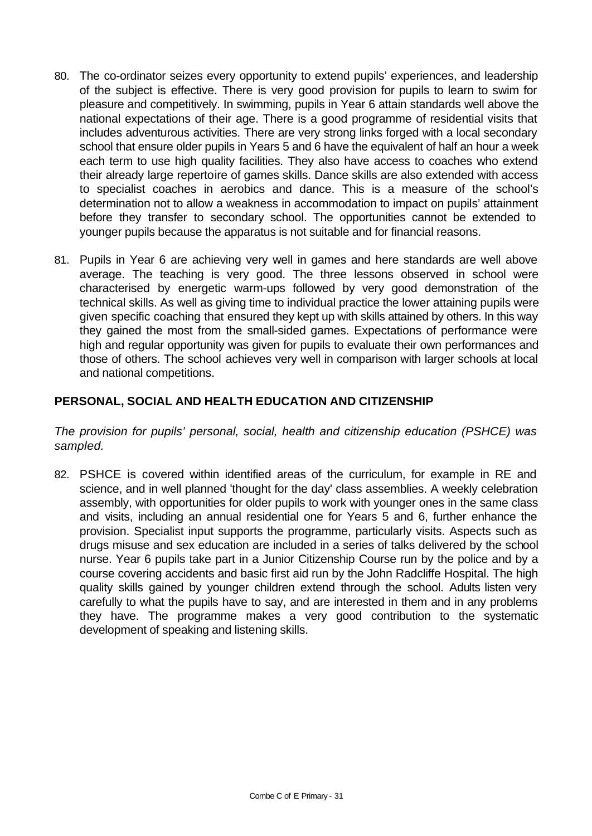- 80. The co-ordinator seizes every opportunity to extend pupils' experiences, and leadership of the subject is effective. There is very good provision for pupils to learn to swim for pleasure and competitively. In swimming, pupils in Year 6 attain standards well above the national expectations of their age. There is a good programme of residential visits that includes adventurous activities. There are very strong links forged with a local secondary school that ensure older pupils in Years 5 and 6 have the equivalent of half an hour a week each term to use high quality facilities. They also have access to coaches who extend their already large repertoire of games skills. Dance skills are also extended with access to specialist coaches in aerobics and dance. This is a measure of the school's determination not to allow a weakness in accommodation to impact on pupils' attainment before they transfer to secondary school. The opportunities cannot be extended to younger pupils because the apparatus is not suitable and for financial reasons.
- 81. Pupils in Year 6 are achieving very well in games and here standards are well above average. The teaching is very good. The three lessons observed in school were characterised by energetic warm-ups followed by very good demonstration of the technical skills. As well as giving time to individual practice the lower attaining pupils were given specific coaching that ensured they kept up with skills attained by others. In this way they gained the most from the small-sided games. Expectations of performance were high and regular opportunity was given for pupils to evaluate their own performances and those of others. The school achieves very well in comparison with larger schools at local and national competitions.

## **PERSONAL, SOCIAL AND HEALTH EDUCATION AND CITIZENSHIP**

*The provision for pupils' personal, social, health and citizenship education (PSHCE) was sampled.*

82. PSHCE is covered within identified areas of the curriculum, for example in RE and science, and in well planned 'thought for the day' class assemblies. A weekly celebration assembly, with opportunities for older pupils to work with younger ones in the same class and visits, including an annual residential one for Years 5 and 6, further enhance the provision. Specialist input supports the programme, particularly visits. Aspects such as drugs misuse and sex education are included in a series of talks delivered by the school nurse. Year 6 pupils take part in a Junior Citizenship Course run by the police and by a course covering accidents and basic first aid run by the John Radcliffe Hospital. The high quality skills gained by younger children extend through the school. Adults listen very carefully to what the pupils have to say, and are interested in them and in any problems they have. The programme makes a very good contribution to the systematic development of speaking and listening skills.